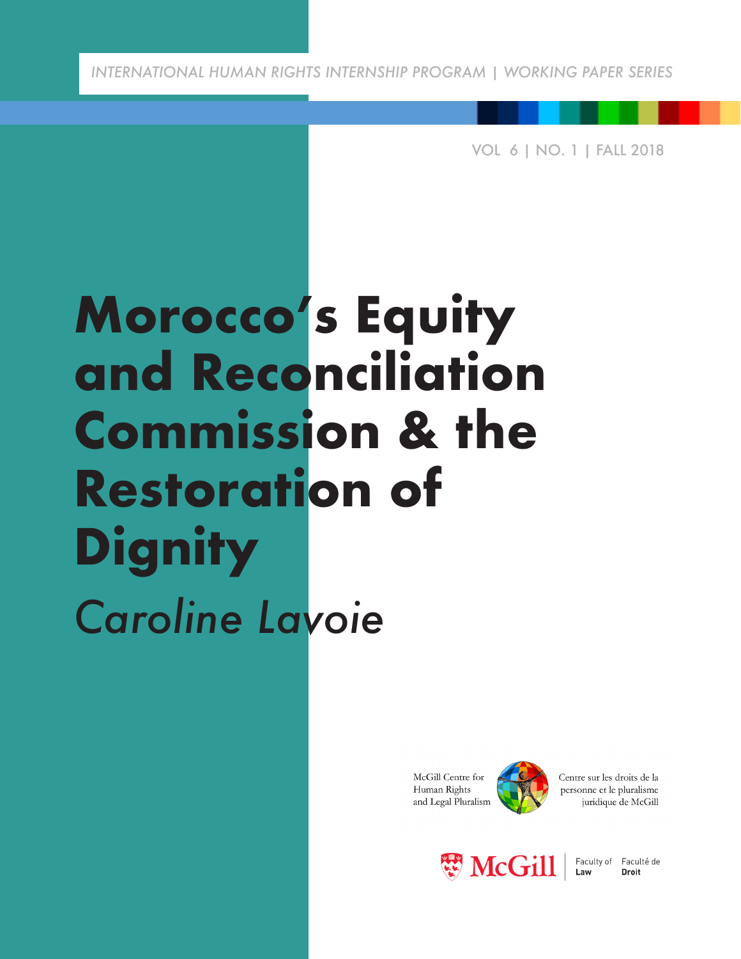*INTERNATIONAL HUMAN RIGHTS INTERNSHIP PROGRAM | WORKING PAPER SERIES*

VOL 6 | NO. 1 | FALL 2018

## **Morocco's Equity and Reconciliation Commission & the Restoration of Dignity** *Caroline Lavoie*

McGill Centre for Human Rights and Legal Pluralism



Centre sur les droits de la personne et le pluralisme juridique de McGill



Faculty of Faculté de Law **Droit**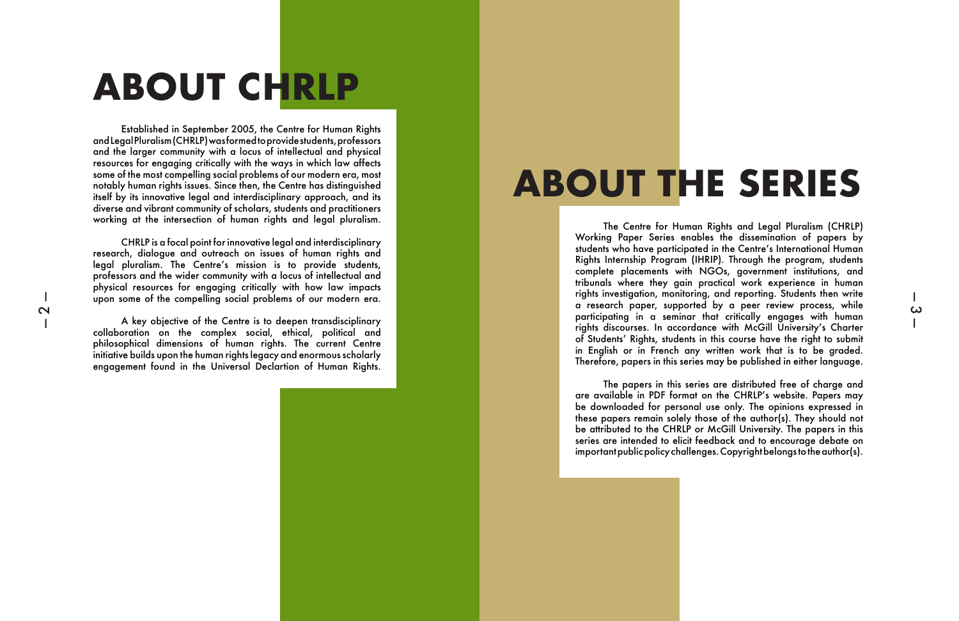CHRLP is a focal point for innovative legal and interdisciplinary research, dialogue and outreach on issues of human rights and legal pluralism. The Centre's mission is to provide students, professors and the wider community with a locus of intellectual and physical resources for engaging critically with how law impacts upon some of the compelling social problems of our modern era.

A key objective of the Centre is to deepen transdisciplinary collaboration on the complex social, ethical, political and philosophical dimensions of human rights. The current Centre initiative builds upon the human rights legacy and enormous scholarly engagement found in the Universal Declartion of Human Rights.

# **ABOUT CHRLP**

Established in September 2005, the Centre for Human Rights and Legal Pluralism (CHRLP) was formed to provide students, professors and the larger community with a locus of intellectual and physical resources for engaging critically with the ways in which law affects some of the most compelling social problems of our modern era, most notably human rights issues. Since then, the Centre has distinguished itself by its innovative legal and interdisciplinary approach, and its diverse and vibrant community of scholars, students and practitioners working at the intersection of human rights and legal pluralism.

# **ABOUT THE SERIES**

The Centre for Human Rights and Legal Pluralism (CHRLP) Working Paper Series enables the dissemination of papers by students who have participated in the Centre's International Human Rights Internship Program (IHRIP). Through the program, students complete placements with NGOs, government institutions, and tribunals where they gain practical work experience in human rights investigation, monitoring, and reporting. Students then write a research paper, supported by a peer review process, while participating in a seminar that critically engages with human rights discourses. In accordance with McGill University's Charter of Students' Rights, students in this course have the right to submit in English or in French any written work that is to be graded. Therefore, papers in this series may be published in either language.

 $\boldsymbol{\omega}$ 

The papers in this series are distributed free of charge and are available in PDF format on the CHRLP's website. Papers may be downloaded for personal use only. The opinions expressed in these papers remain solely those of the author(s). They should not be attributed to the CHRLP or McGill University. The papers in this series are intended to elicit feedback and to encourage debate on important public policy challenges. Copyright belongs to the author(s).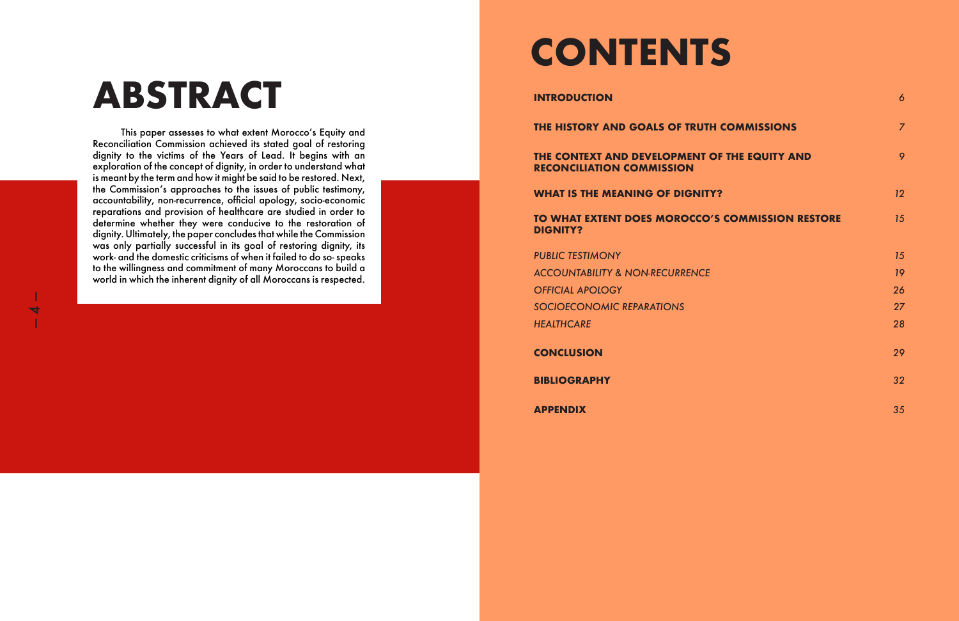This paper assesses to what extent Morocco's Equity and Reconciliation Commission achieved its stated goal of restoring dignity to the victims of the Years of Lead. It begins with an exploration of the concept of dignity, in order to understand what is meant by the term and how it might be said to be restored. Next, the Commission's approaches to the issues of public testimony, accountability, non-recurrence, official apology, socio-economic reparations and provision of healthcare are studied in order to determine whether they were conducive to the restoration of dignity. Ultimately, the paper concludes that while the Commission was only partially successful in its goal of restoring dignity, its work- and the domestic criticisms of when it failed to do so- speaks to the willingness and commitment of many Moroccans to build a world in which the inherent dignity of all Moroccans is respected.

### **THE CONTEXT AND DEVELOPMENT RECONCILIATION COMMISSION**

**WHAT IS THE MEANING OF DIGNITY** 

### **TO WHAT EXTENT DOES MOROCCO DIGNITY?**

**PUBLIC TESTIMONY ACCOUNTABILITY & NON-RECURRENC** *OFFICIAL APOLOGY 26 SOCIOECONOMIC REPARATIONS 27 HEALTHCARE 28*

# **ABSTRACT INTRODUCTION**

 $\overline{\blacktriangleleft}$ 

|                               | 6              |
|-------------------------------|----------------|
| <b>TH COMMISSIONS</b>         | $\overline{7}$ |
| <b>OF THE EQUITY AND</b>      | 9              |
| TY?                           | 12             |
| <b>D'S COMMISSION RESTORE</b> | 15             |
|                               | 15             |
| E                             | 19             |
|                               | 26             |
|                               | 27             |
|                               | 28             |
|                               | 29             |
|                               | 32             |
|                               | 35             |

**CONCLUSION** *29*

**BIBLIOGRAPHY** *32*

**APPENDIX** *35*



# **CONTENTS**

**THE HISTORY AND GOALS OF TRUTH**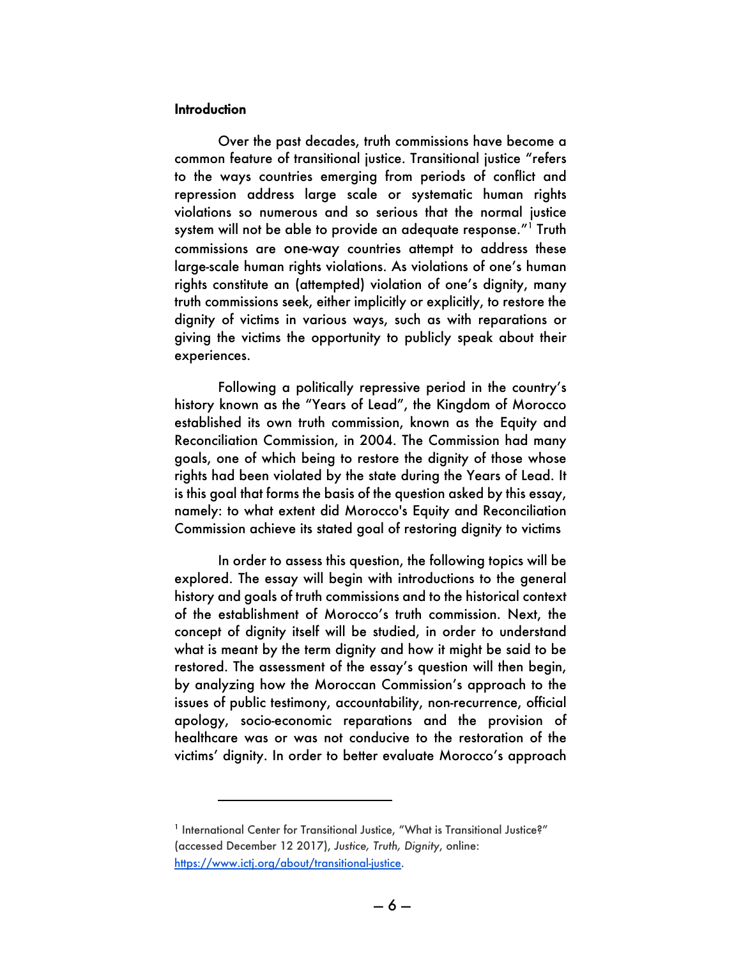#### **Introduction**

 $\overline{a}$ 

Over the past decades, truth commissions have become a common feature of transitional justice. Transitional justice "refers to the ways countries emerging from periods of conflict and repression address large scale or systematic human rights violations so numerous and so serious that the normal justice system will not be able to provide an adequate response."<sup>1</sup> Truth commissions are one-way countries attempt to address these large-scale human rights violations. As violations of one's human rights constitute an (attempted) violation of one's dignity, many truth commissions seek, either implicitly or explicitly, to restore the dignity of victims in various ways, such as with reparations or giving the victims the opportunity to publicly speak about their experiences.

Following a politically repressive period in the country's history known as the "Years of Lead", the Kingdom of Morocco established its own truth commission, known as the Equity and Reconciliation Commission, in 2004. The Commission had many goals, one of which being to restore the dignity of those whose rights had been violated by the state during the Years of Lead. It is this goal that forms the basis of the question asked by this essay, namely: to what extent did Morocco's Equity and Reconciliation Commission achieve its stated goal of restoring dignity to victims

In order to assess this question, the following topics will be explored. The essay will begin with introductions to the general history and goals of truth commissions and to the historical context of the establishment of Morocco's truth commission. Next, the concept of dignity itself will be studied, in order to understand what is meant by the term dignity and how it might be said to be restored. The assessment of the essay's question will then begin, by analyzing how the Moroccan Commission's approach to the issues of public testimony, accountability, non-recurrence, official apology, socio-economic reparations and the provision of healthcare was or was not conducive to the restoration of the victims' dignity. In order to better evaluate Morocco's approach

<sup>&</sup>lt;sup>1</sup> International Center for Transitional Justice, "What is Transitional Justice?" (accessed December 12 2017), *Justice, Truth, Dignity*, online: https://www.ictj.org/about/transitional-justice.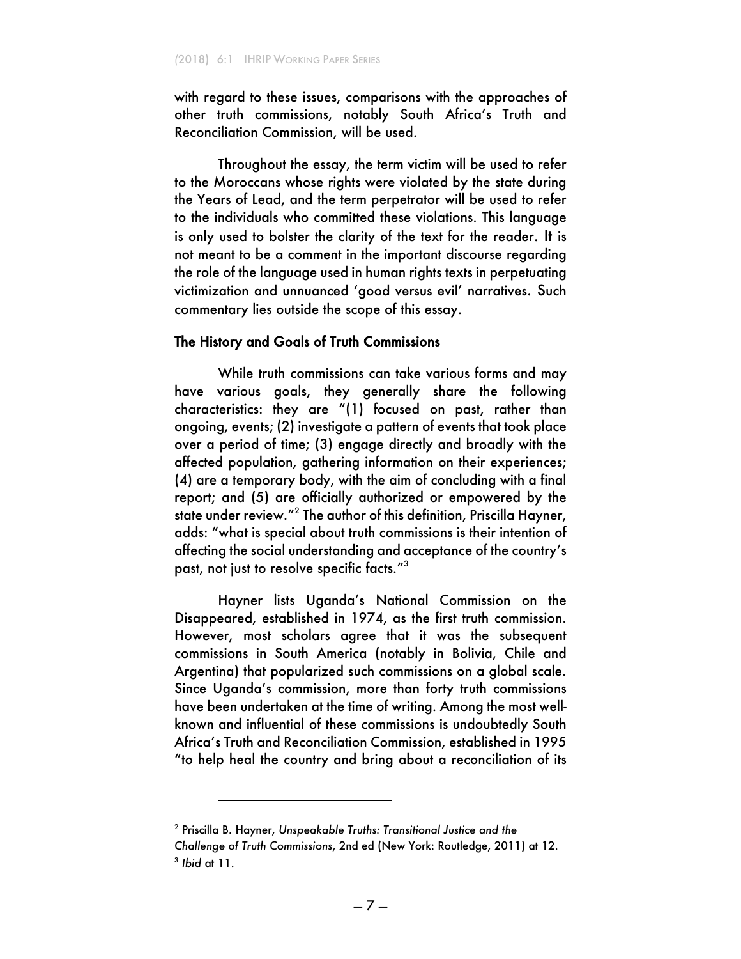with regard to these issues, comparisons with the approaches of other truth commissions, notably South Africa's Truth and Reconciliation Commission, will be used.

Throughout the essay, the term victim will be used to refer to the Moroccans whose rights were violated by the state during the Years of Lead, and the term perpetrator will be used to refer to the individuals who committed these violations. This language is only used to bolster the clarity of the text for the reader. It is not meant to be a comment in the important discourse regarding the role of the language used in human rights texts in perpetuating victimization and unnuanced 'good versus evil' narratives. Such commentary lies outside the scope of this essay.

#### The History and Goals of Truth Commissions

While truth commissions can take various forms and may have various goals, they generally share the following characteristics: they are "(1) focused on past, rather than ongoing, events; (2) investigate a pattern of events that took place over a period of time; (3) engage directly and broadly with the affected population, gathering information on their experiences; (4) are a temporary body, with the aim of concluding with a final report; and (5) are officially authorized or empowered by the state under review."<sup>2</sup> The author of this definition, Priscilla Hayner, adds: "what is special about truth commissions is their intention of affecting the social understanding and acceptance of the country's past, not just to resolve specific facts." $^{\rm 3}$ 

Hayner lists Uganda's National Commission on the Disappeared, established in 1974, as the first truth commission. However, most scholars agree that it was the subsequent commissions in South America (notably in Bolivia, Chile and Argentina) that popularized such commissions on a global scale. Since Uganda's commission, more than forty truth commissions have been undertaken at the time of writing. Among the most wellknown and influential of these commissions is undoubtedly South Africa's Truth and Reconciliation Commission, established in 1995 "to help heal the country and bring about a reconciliation of its

<sup>2</sup> Priscilla B. Hayner, *Unspeakable Truths: Transitional Justice and the Challenge of Truth Commissions*, 2nd ed (New York: Routledge, 2011) at 12. <sup>3</sup> *Ibid* at 11.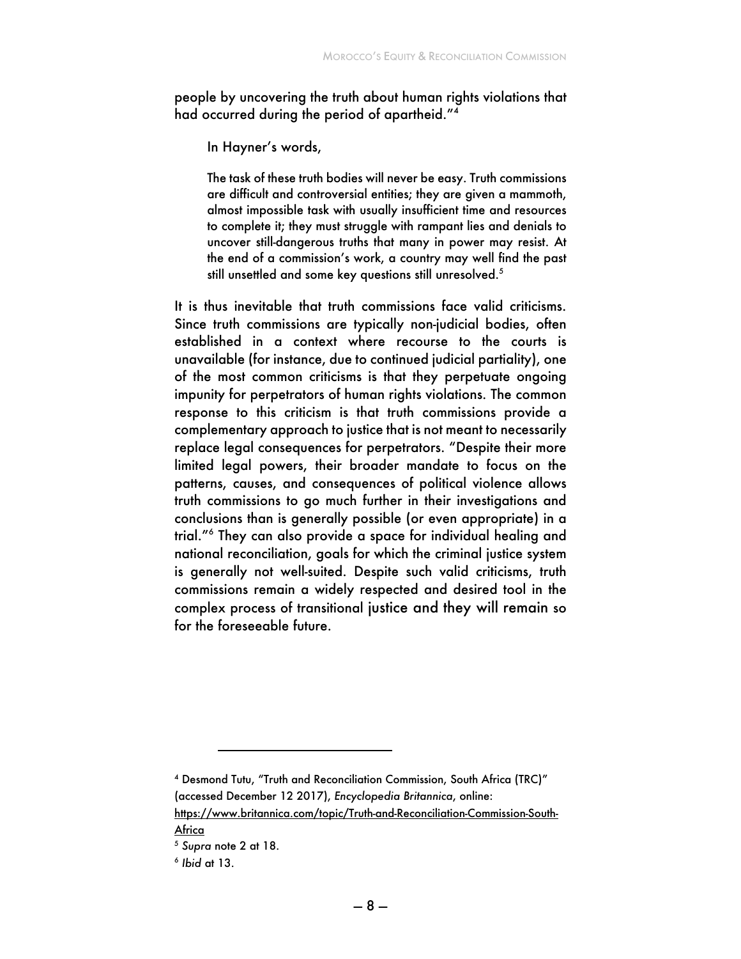people by uncovering the truth about human rights violations that had occurred during the period of apartheid."<sup>4</sup>

In Hayner's words,

The task of these truth bodies will never be easy. Truth commissions are difficult and controversial entities; they are given a mammoth, almost impossible task with usually insufficient time and resources to complete it; they must struggle with rampant lies and denials to uncover still-dangerous truths that many in power may resist. At the end of a commission's work, a country may well find the past still unsettled and some key questions still unresolved.<sup>5</sup>

It is thus inevitable that truth commissions face valid criticisms. Since truth commissions are typically non-judicial bodies, often established in a context where recourse to the courts is unavailable (for instance, due to continued judicial partiality), one of the most common criticisms is that they perpetuate ongoing impunity for perpetrators of human rights violations. The common response to this criticism is that truth commissions provide a complementary approach to justice that is not meant to necessarily replace legal consequences for perpetrators. "Despite their more limited legal powers, their broader mandate to focus on the patterns, causes, and consequences of political violence allows truth commissions to go much further in their investigations and conclusions than is generally possible (or even appropriate) in a trial."6 They can also provide a space for individual healing and national reconciliation, goals for which the criminal justice system is generally not well-suited. Despite such valid criticisms, truth commissions remain a widely respected and desired tool in the complex process of transitional justice and they will remain so for the foreseeable future.

<sup>4</sup> Desmond Tutu, "Truth and Reconciliation Commission, South Africa (TRC)" (accessed December 12 2017), *Encyclopedia Britannica*, online: https://www.britannica.com/topic/Truth-and-Reconciliation-Commission-South-

Africa

<sup>5</sup> *Supra* note 2 at 18.

<sup>6</sup> *Ibid* at 13.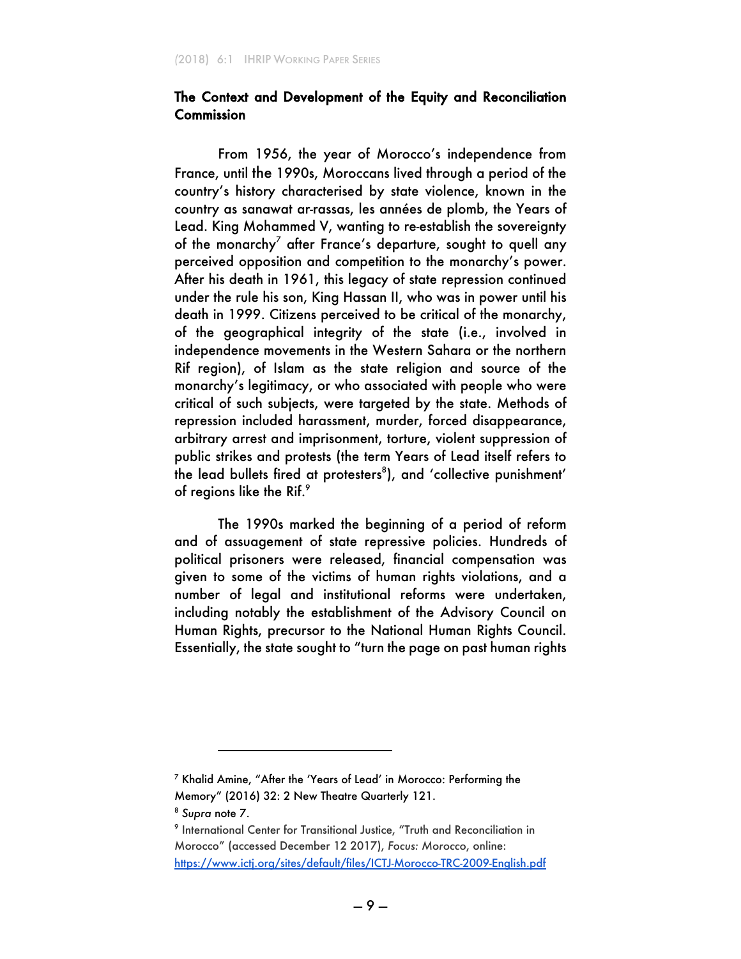### The Context and Development of the Equity and Reconciliation **Commission**

From 1956, the year of Morocco's independence from France, until the 1990s, Moroccans lived through a period of the country's history characterised by state violence, known in the country as sanawat ar-rassas, les années de plomb, the Years of Lead. King Mohammed V, wanting to re-establish the sovereignty of the monarchy<sup>7</sup> after France's departure, sought to quell any perceived opposition and competition to the monarchy's power. After his death in 1961, this legacy of state repression continued under the rule his son, King Hassan II, who was in power until his death in 1999. Citizens perceived to be critical of the monarchy, of the geographical integrity of the state (i.e., involved in independence movements in the Western Sahara or the northern Rif region), of Islam as the state religion and source of the monarchy's legitimacy, or who associated with people who were critical of such subjects, were targeted by the state. Methods of repression included harassment, murder, forced disappearance, arbitrary arrest and imprisonment, torture, violent suppression of public strikes and protests (the term Years of Lead itself refers to the lead bullets fired at protesters $^8$ ), and 'collective punishment' of regions like the Rif.<sup>9</sup>

The 1990s marked the beginning of a period of reform and of assuagement of state repressive policies. Hundreds of political prisoners were released, financial compensation was given to some of the victims of human rights violations, and a number of legal and institutional reforms were undertaken, including notably the establishment of the Advisory Council on Human Rights, precursor to the National Human Rights Council. Essentially, the state sought to "turn the page on past human rights

<sup>7</sup> Khalid Amine, "After the 'Years of Lead' in Morocco: Performing the Memory" (2016) 32: 2 New Theatre Quarterly 121.

<sup>8</sup> *Supra* note 7.

<sup>9</sup> International Center for Transitional Justice, "Truth and Reconciliation in Morocco" (accessed December 12 2017), *Focus: Morocco*, online: https://www.ictj.org/sites/default/files/ICTJ-Morocco-TRC-2009-English.pdf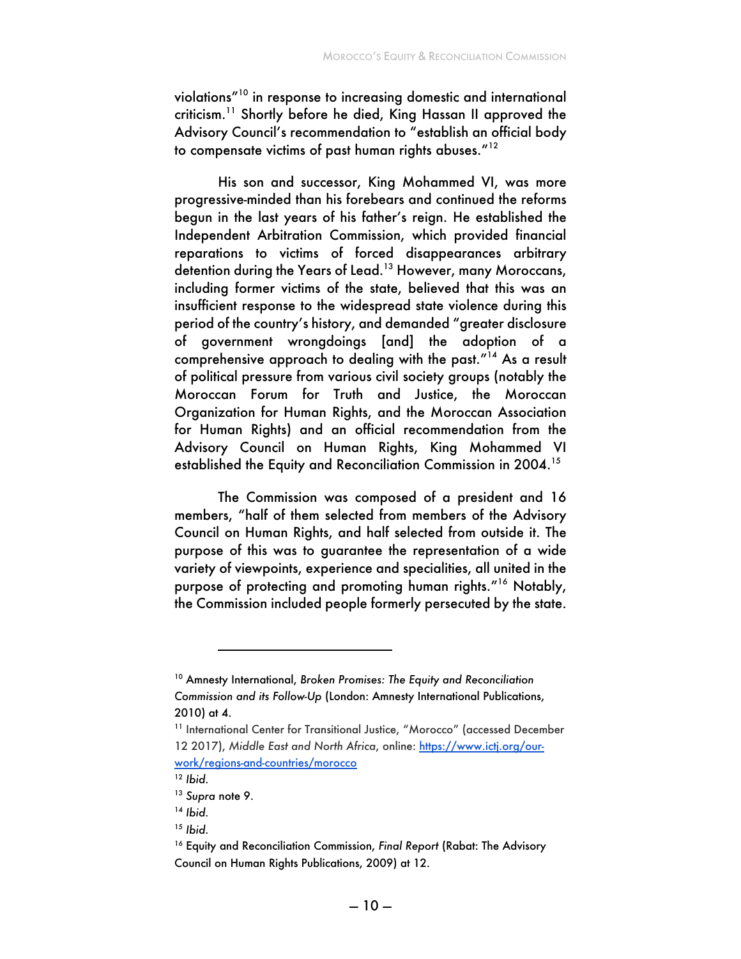violations"10 in response to increasing domestic and international criticism.<sup>11</sup> Shortly before he died, King Hassan II approved the Advisory Council's recommendation to "establish an official body to compensate victims of past human rights abuses."<sup>12</sup>

His son and successor, King Mohammed VI, was more progressive-minded than his forebears and continued the reforms begun in the last years of his father's reign. He established the Independent Arbitration Commission, which provided financial reparations to victims of forced disappearances arbitrary detention during the Years of Lead.<sup>13</sup> However, many Moroccans, including former victims of the state, believed that this was an insufficient response to the widespread state violence during this period of the country's history, and demanded "greater disclosure of government wrongdoings [and] the adoption of a comprehensive approach to dealing with the past."14 As a result of political pressure from various civil society groups (notably the Moroccan Forum for Truth and Justice, the Moroccan Organization for Human Rights, and the Moroccan Association for Human Rights) and an official recommendation from the Advisory Council on Human Rights, King Mohammed VI established the Equity and Reconciliation Commission in 2004.<sup>15</sup>

The Commission was composed of a president and 16 members, "half of them selected from members of the Advisory Council on Human Rights, and half selected from outside it. The purpose of this was to guarantee the representation of a wide variety of viewpoints, experience and specialities, all united in the purpose of protecting and promoting human rights."16 Notably, the Commission included people formerly persecuted by the state.

<sup>10</sup> Amnesty International, *Broken Promises: The Equity and Reconciliation Commission and its Follow-Up* (London: Amnesty International Publications, 2010) at 4.

<sup>&</sup>lt;sup>11</sup> International Center for Transitional Justice, "Morocco" (accessed December 12 2017), *Middle East and North Africa*, online: https://www.ictj.org/ourwork/regions-and-countries/morocco

<sup>12</sup> *Ibid.*

<sup>13</sup> *Supra* note 9.

<sup>14</sup> *Ibid.*

<sup>15</sup> *Ibid.*

<sup>&</sup>lt;sup>16</sup> Equity and Reconciliation Commission, *Final Report* (Rabat: The Advisory Council on Human Rights Publications, 2009) at 12.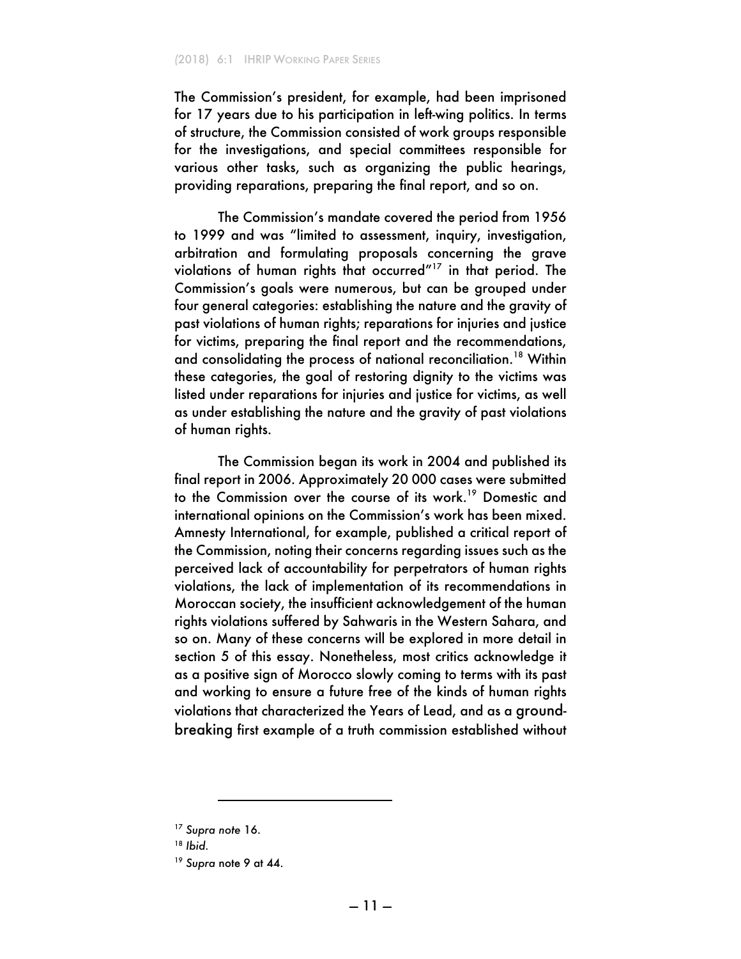The Commission's president, for example, had been imprisoned for 17 years due to his participation in left-wing politics. In terms of structure, the Commission consisted of work groups responsible for the investigations, and special committees responsible for various other tasks, such as organizing the public hearings, providing reparations, preparing the final report, and so on.

The Commission's mandate covered the period from 1956 to 1999 and was "limited to assessment, inquiry, investigation, arbitration and formulating proposals concerning the grave violations of human rights that occurred"17 in that period. The Commission's goals were numerous, but can be grouped under four general categories: establishing the nature and the gravity of past violations of human rights; reparations for injuries and justice for victims, preparing the final report and the recommendations, and consolidating the process of national reconciliation.<sup>18</sup> Within these categories, the goal of restoring dignity to the victims was listed under reparations for injuries and justice for victims, as well as under establishing the nature and the gravity of past violations of human rights.

The Commission began its work in 2004 and published its final report in 2006. Approximately 20 000 cases were submitted to the Commission over the course of its work.<sup>19</sup> Domestic and international opinions on the Commission's work has been mixed. Amnesty International, for example, published a critical report of the Commission, noting their concerns regarding issues such as the perceived lack of accountability for perpetrators of human rights violations, the lack of implementation of its recommendations in Moroccan society, the insufficient acknowledgement of the human rights violations suffered by Sahwaris in the Western Sahara, and so on. Many of these concerns will be explored in more detail in section 5 of this essay. Nonetheless, most critics acknowledge it as a positive sign of Morocco slowly coming to terms with its past and working to ensure a future free of the kinds of human rights violations that characterized the Years of Lead, and as a groundbreaking first example of a truth commission established without

<sup>17</sup> *Supra note* 16.

<sup>18</sup> *Ibid.* 

<sup>19</sup> *Supra* note 9 at 44.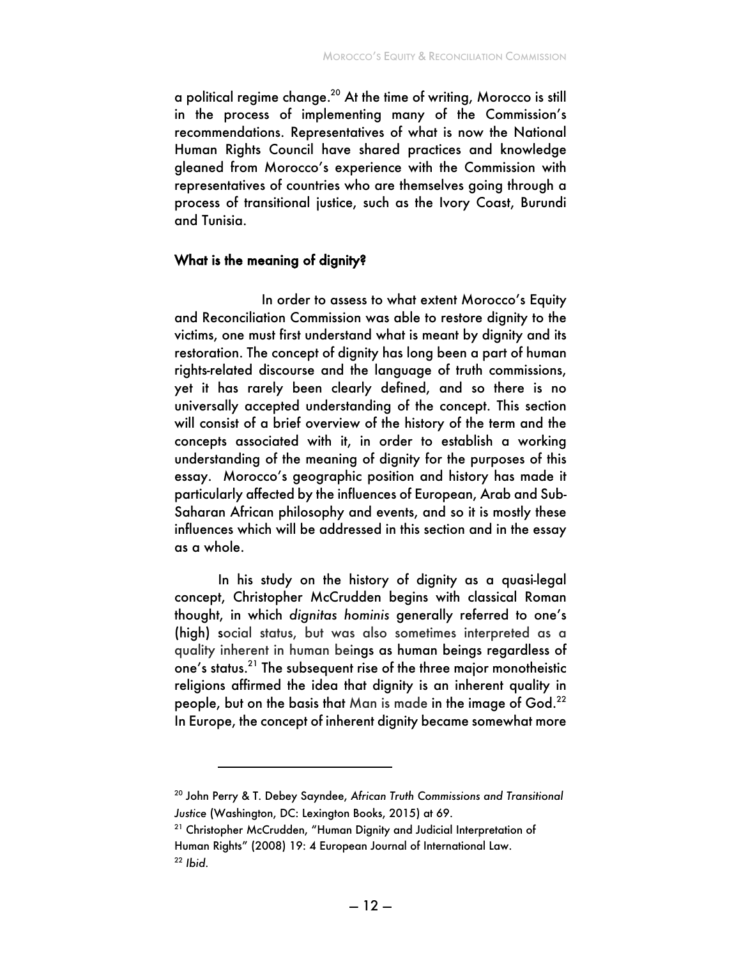a political regime change.20 At the time of writing, Morocco is still in the process of implementing many of the Commission's recommendations. Representatives of what is now the National Human Rights Council have shared practices and knowledge gleaned from Morocco's experience with the Commission with representatives of countries who are themselves going through a process of transitional justice, such as the Ivory Coast, Burundi and Tunisia.

#### What is the meaning of dignity?

In order to assess to what extent Morocco's Equity and Reconciliation Commission was able to restore dignity to the victims, one must first understand what is meant by dignity and its restoration. The concept of dignity has long been a part of human rights-related discourse and the language of truth commissions, yet it has rarely been clearly defined, and so there is no universally accepted understanding of the concept. This section will consist of a brief overview of the history of the term and the concepts associated with it, in order to establish a working understanding of the meaning of dignity for the purposes of this essay. Morocco's geographic position and history has made it particularly affected by the influences of European, Arab and Sub-Saharan African philosophy and events, and so it is mostly these influences which will be addressed in this section and in the essay as a whole.

In his study on the history of dignity as a quasi-legal concept, Christopher McCrudden begins with classical Roman thought, in which *dignitas hominis* generally referred to one's (high) social status, but was also sometimes interpreted as a quality inherent in human beings as human beings regardless of one's status. <sup>21</sup> The subsequent rise of the three major monotheistic religions affirmed the idea that dignity is an inherent quality in people, but on the basis that Man is made in the image of God.<sup>22</sup> In Europe, the concept of inherent dignity became somewhat more

i

<sup>20</sup> John Perry & T. Debey Sayndee, *African Truth Commissions and Transitional Justice* (Washington, DC: Lexington Books, 2015) at 69.

<sup>&</sup>lt;sup>21</sup> Christopher McCrudden, "Human Dignity and Judicial Interpretation of Human Rights" (2008) 19: 4 European Journal of International Law. <sup>22</sup> *Ibid.*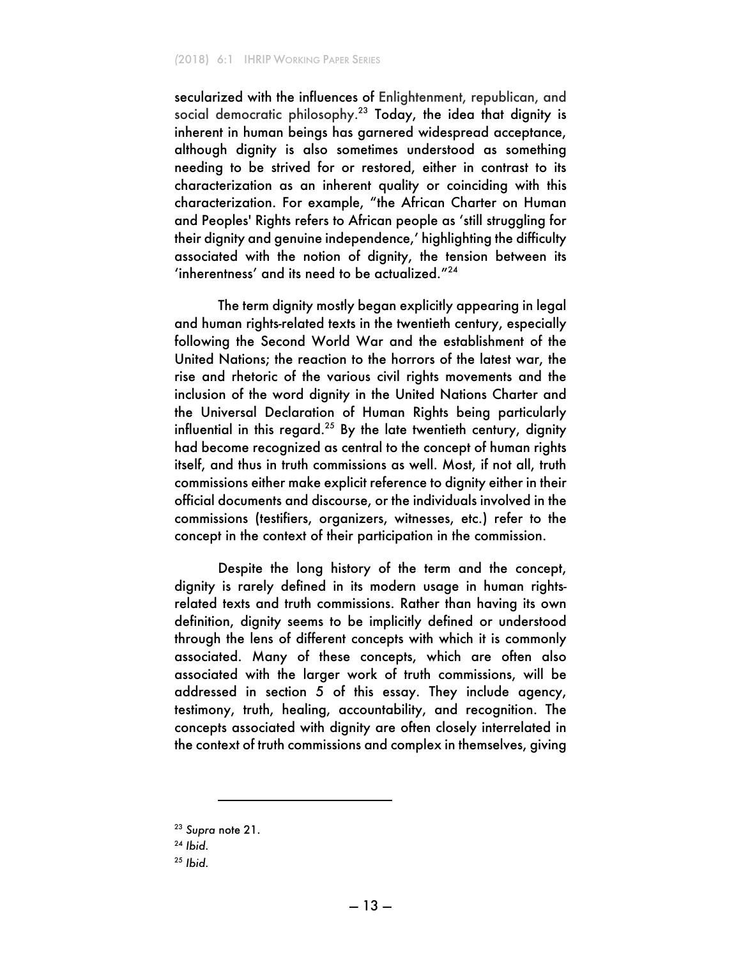secularized with the influences of Enlightenment, republican, and social democratic philosophy.<sup>23</sup> Today, the idea that dignity is inherent in human beings has garnered widespread acceptance, although dignity is also sometimes understood as something needing to be strived for or restored, either in contrast to its characterization as an inherent quality or coinciding with this characterization. For example, "the African Charter on Human and Peoples' Rights refers to African people as 'still struggling for their dignity and genuine independence,' highlighting the difficulty associated with the notion of dignity, the tension between its 'inherentness' and its need to be actualized."<sup>24</sup>

The term dignity mostly began explicitly appearing in legal and human rights-related texts in the twentieth century, especially following the Second World War and the establishment of the United Nations; the reaction to the horrors of the latest war, the rise and rhetoric of the various civil rights movements and the inclusion of the word dignity in the United Nations Charter and the Universal Declaration of Human Rights being particularly influential in this regard.<sup>25</sup> By the late twentieth century, dignity had become recognized as central to the concept of human rights itself, and thus in truth commissions as well. Most, if not all, truth commissions either make explicit reference to dignity either in their official documents and discourse, or the individuals involved in the commissions (testifiers, organizers, witnesses, etc.) refer to the concept in the context of their participation in the commission.

Despite the long history of the term and the concept, dignity is rarely defined in its modern usage in human rightsrelated texts and truth commissions. Rather than having its own definition, dignity seems to be implicitly defined or understood through the lens of different concepts with which it is commonly associated. Many of these concepts, which are often also associated with the larger work of truth commissions, will be addressed in section 5 of this essay. They include agency, testimony, truth, healing, accountability, and recognition. The concepts associated with dignity are often closely interrelated in the context of truth commissions and complex in themselves, giving

<sup>23</sup> *Supra* note 21.

<sup>24</sup> *Ibid.*

<sup>25</sup> *Ibid.*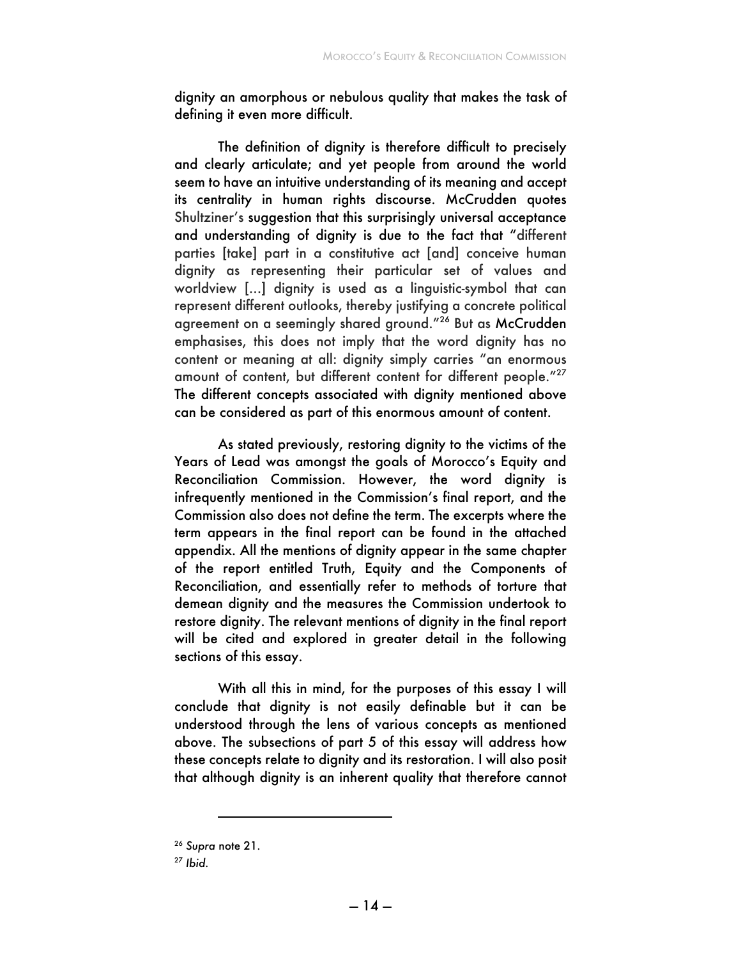dignity an amorphous or nebulous quality that makes the task of defining it even more difficult.

The definition of dignity is therefore difficult to precisely and clearly articulate; and yet people from around the world seem to have an intuitive understanding of its meaning and accept its centrality in human rights discourse. McCrudden quotes Shultziner's suggestion that this surprisingly universal acceptance and understanding of dignity is due to the fact that "different parties [take] part in a constitutive act [and] conceive human dignity as representing their particular set of values and worldview [...] dignity is used as a linguistic-symbol that can represent different outlooks, thereby justifying a concrete political agreement on a seemingly shared ground."<sup>26</sup> But as McCrudden emphasises, this does not imply that the word dignity has no content or meaning at all: dignity simply carries "an enormous amount of content, but different content for different people."27 The different concepts associated with dignity mentioned above can be considered as part of this enormous amount of content.

As stated previously, restoring dignity to the victims of the Years of Lead was amongst the goals of Morocco's Equity and Reconciliation Commission. However, the word dignity is infrequently mentioned in the Commission's final report, and the Commission also does not define the term. The excerpts where the term appears in the final report can be found in the attached appendix. All the mentions of dignity appear in the same chapter of the report entitled Truth, Equity and the Components of Reconciliation, and essentially refer to methods of torture that demean dignity and the measures the Commission undertook to restore dignity. The relevant mentions of dignity in the final report will be cited and explored in greater detail in the following sections of this essay.

With all this in mind, for the purposes of this essay I will conclude that dignity is not easily definable but it can be understood through the lens of various concepts as mentioned above. The subsections of part 5 of this essay will address how these concepts relate to dignity and its restoration. I will also posit that although dignity is an inherent quality that therefore cannot

i

<sup>26</sup> *Supra* note 21.

<sup>27</sup> *Ibid.*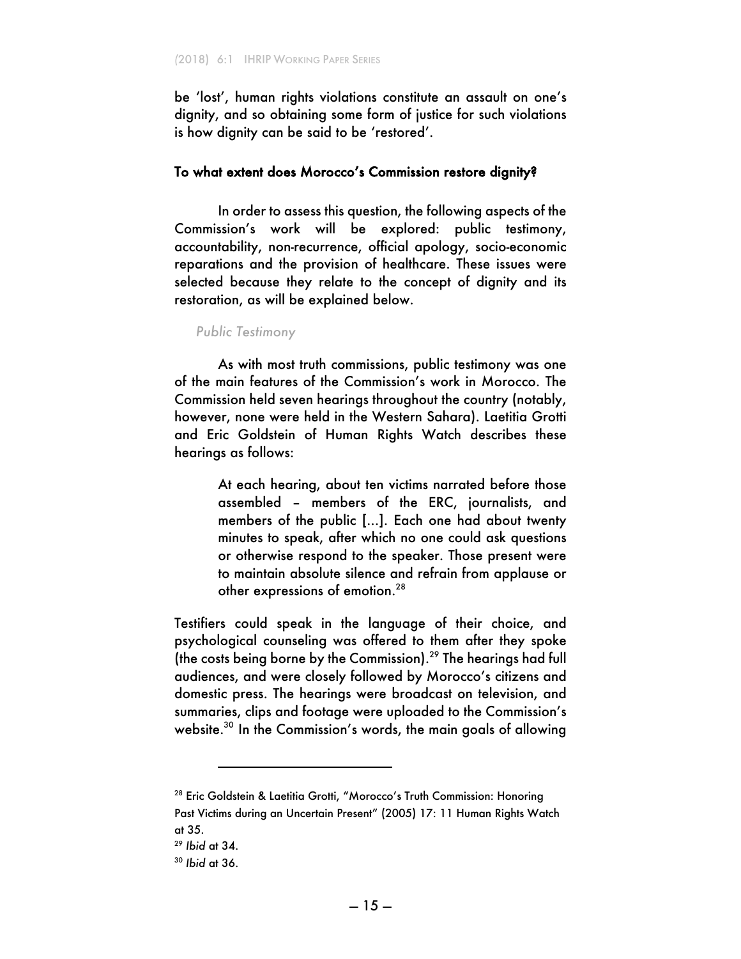be 'lost', human rights violations constitute an assault on one's dignity, and so obtaining some form of justice for such violations is how dignity can be said to be 'restored'.

#### To what extent does Morocco's Commission restore dignity?

In order to assess this question, the following aspects of the Commission's work will be explored: public testimony, accountability, non-recurrence, official apology, socio-economic reparations and the provision of healthcare. These issues were selected because they relate to the concept of dignity and its restoration, as will be explained below.

#### *Public Testimony*

As with most truth commissions, public testimony was one of the main features of the Commission's work in Morocco. The Commission held seven hearings throughout the country (notably, however, none were held in the Western Sahara). Laetitia Grotti and Eric Goldstein of Human Rights Watch describes these hearings as follows:

> At each hearing, about ten victims narrated before those assembled – members of the ERC, journalists, and members of the public [...]. Each one had about twenty minutes to speak, after which no one could ask questions or otherwise respond to the speaker. Those present were to maintain absolute silence and refrain from applause or other expressions of emotion.28

Testifiers could speak in the language of their choice, and psychological counseling was offered to them after they spoke (the costs being borne by the Commission).29 The hearings had full audiences, and were closely followed by Morocco's citizens and domestic press. The hearings were broadcast on television, and summaries, clips and footage were uploaded to the Commission's website.<sup>30</sup> In the Commission's words, the main goals of allowing

i

<sup>&</sup>lt;sup>28</sup> Eric Goldstein & Laetitia Grotti, "Morocco's Truth Commission: Honoring Past Victims during an Uncertain Present" (2005) 17: 11 Human Rights Watch at 35.

<sup>29</sup> *Ibid* at 34.

<sup>30</sup> *Ibid* at 36.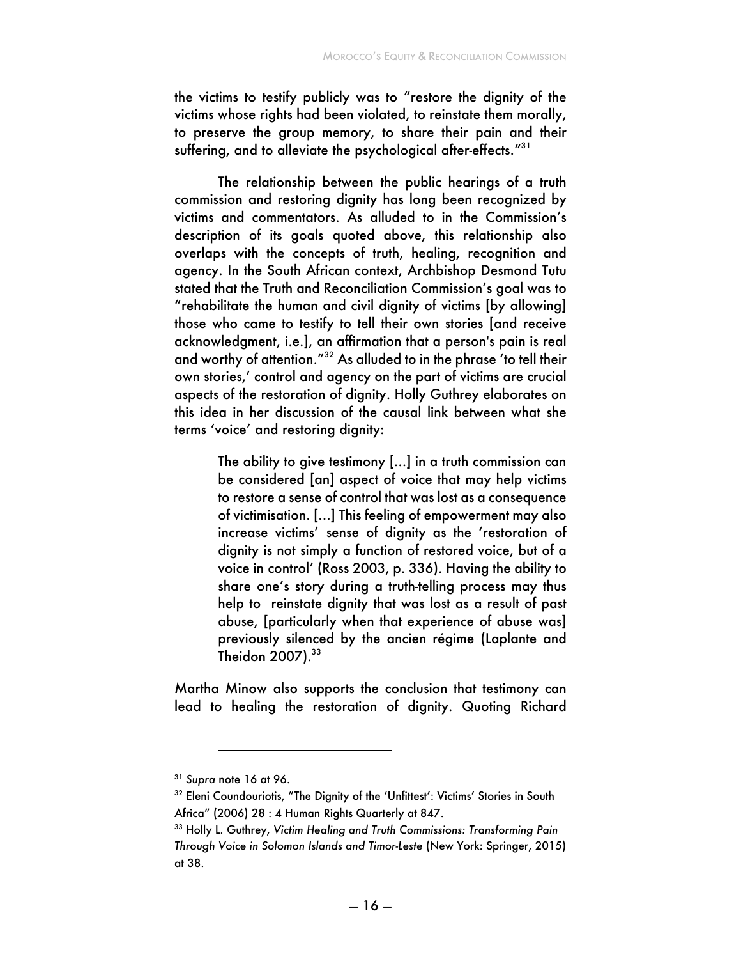the victims to testify publicly was to "restore the dignity of the victims whose rights had been violated, to reinstate them morally, to preserve the group memory, to share their pain and their suffering, and to alleviate the psychological after-effects."<sup>31</sup>

The relationship between the public hearings of a truth commission and restoring dignity has long been recognized by victims and commentators. As alluded to in the Commission's description of its goals quoted above, this relationship also overlaps with the concepts of truth, healing, recognition and agency. In the South African context, Archbishop Desmond Tutu stated that the Truth and Reconciliation Commission's goal was to "rehabilitate the human and civil dignity of victims [by allowing] those who came to testify to tell their own stories [and receive acknowledgment, i.e.], an affirmation that a person's pain is real and worthy of attention."32 As alluded to in the phrase 'to tell their own stories,' control and agency on the part of victims are crucial aspects of the restoration of dignity. Holly Guthrey elaborates on this idea in her discussion of the causal link between what she terms 'voice' and restoring dignity:

> The ability to give testimony [...] in a truth commission can be considered [an] aspect of voice that may help victims to restore a sense of control that was lost as a consequence of victimisation. [...] This feeling of empowerment may also increase victims' sense of dignity as the 'restoration of dignity is not simply a function of restored voice, but of a voice in control' (Ross 2003, p. 336). Having the ability to share one's story during a truth-telling process may thus help to reinstate dignity that was lost as a result of past abuse, [particularly when that experience of abuse was] previously silenced by the ancien régime (Laplante and Theidon  $2007$ ). $33$

Martha Minow also supports the conclusion that testimony can lead to healing the restoration of dignity. Quoting Richard

<sup>31</sup> *Supra* note 16 at 96.

<sup>&</sup>lt;sup>32</sup> Eleni Coundouriotis, "The Dignity of the 'Unfittest': Victims' Stories in South Africa" (2006) 28 : 4 Human Rights Quarterly at 847.

<sup>33</sup> Holly L. Guthrey, *Victim Healing and Truth Commissions: Transforming Pain Through Voice in Solomon Islands and Timor-Leste* (New York: Springer, 2015) at 38.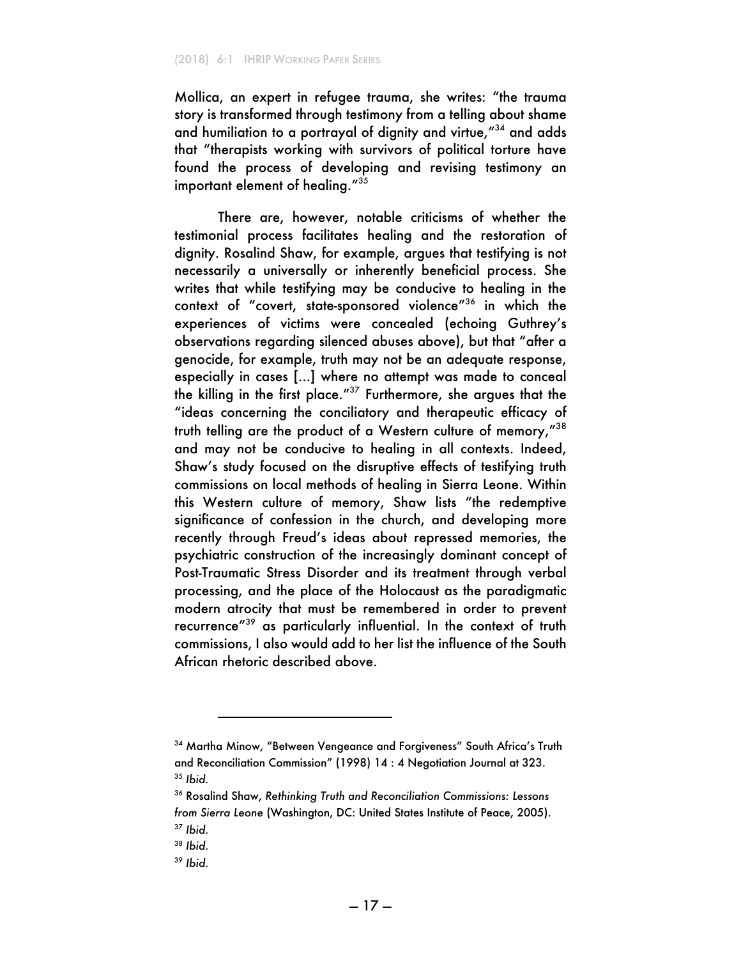Mollica, an expert in refugee trauma, she writes: "the trauma story is transformed through testimony from a telling about shame and humiliation to a portrayal of dignity and virtue,"34 and adds that "therapists working with survivors of political torture have found the process of developing and revising testimony an important element of healing."<sup>35</sup>

There are, however, notable criticisms of whether the testimonial process facilitates healing and the restoration of dignity. Rosalind Shaw, for example, argues that testifying is not necessarily a universally or inherently beneficial process. She writes that while testifying may be conducive to healing in the context of "covert, state-sponsored violence"<sup>36</sup> in which the experiences of victims were concealed (echoing Guthrey's observations regarding silenced abuses above), but that "after a genocide, for example, truth may not be an adequate response, especially in cases [...] where no attempt was made to conceal the killing in the first place."37 Furthermore, she argues that the "ideas concerning the conciliatory and therapeutic efficacy of truth telling are the product of a Western culture of memory,"<sup>38</sup> and may not be conducive to healing in all contexts. Indeed, Shaw's study focused on the disruptive effects of testifying truth commissions on local methods of healing in Sierra Leone. Within this Western culture of memory, Shaw lists "the redemptive significance of confession in the church, and developing more recently through Freud's ideas about repressed memories, the psychiatric construction of the increasingly dominant concept of Post-Traumatic Stress Disorder and its treatment through verbal processing, and the place of the Holocaust as the paradigmatic modern atrocity that must be remembered in order to prevent recurrence"<sup>39</sup> as particularly influential. In the context of truth commissions, I also would add to her list the influence of the South African rhetoric described above.

<sup>&</sup>lt;sup>34</sup> Martha Minow, "Between Vengeance and Forgiveness" South Africa's Truth and Reconciliation Commission" (1998) 14 : 4 Negotiation Journal at 323. <sup>35</sup> *Ibid.*

<sup>36</sup> Rosalind Shaw, *Rethinking Truth and Reconciliation Commissions: Lessons from Sierra Leone* (Washington, DC: United States Institute of Peace, 2005). <sup>37</sup> *Ibid.*

<sup>38</sup> *Ibid.*

<sup>39</sup> *Ibid.*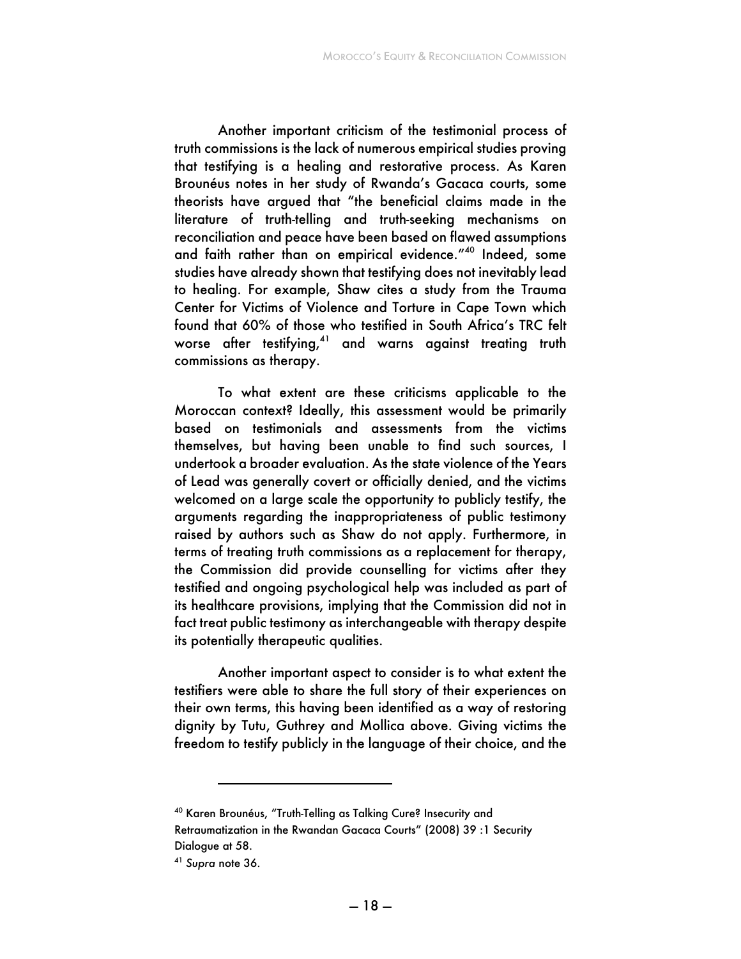Another important criticism of the testimonial process of truth commissions is the lack of numerous empirical studies proving that testifying is a healing and restorative process. As Karen Brounéus notes in her study of Rwanda's Gacaca courts, some theorists have argued that "the beneficial claims made in the literature of truth-telling and truth-seeking mechanisms on reconciliation and peace have been based on flawed assumptions and faith rather than on empirical evidence."40 Indeed, some studies have already shown that testifying does not inevitably lead to healing. For example, Shaw cites a study from the Trauma Center for Victims of Violence and Torture in Cape Town which found that 60% of those who testified in South Africa's TRC felt worse after testifying,<sup>41</sup> and warns against treating truth commissions as therapy.

To what extent are these criticisms applicable to the Moroccan context? Ideally, this assessment would be primarily based on testimonials and assessments from the victims themselves, but having been unable to find such sources, I undertook a broader evaluation. As the state violence of the Years of Lead was generally covert or officially denied, and the victims welcomed on a large scale the opportunity to publicly testify, the arguments regarding the inappropriateness of public testimony raised by authors such as Shaw do not apply. Furthermore, in terms of treating truth commissions as a replacement for therapy, the Commission did provide counselling for victims after they testified and ongoing psychological help was included as part of its healthcare provisions, implying that the Commission did not in fact treat public testimony as interchangeable with therapy despite its potentially therapeutic qualities.

Another important aspect to consider is to what extent the testifiers were able to share the full story of their experiences on their own terms, this having been identified as a way of restoring dignity by Tutu, Guthrey and Mollica above. Giving victims the freedom to testify publicly in the language of their choice, and the

<sup>40</sup> Karen Brounéus, "Truth-Telling as Talking Cure? Insecurity and Retraumatization in the Rwandan Gacaca Courts" (2008) 39 :1 Security Dialogue at 58.

<sup>41</sup> *Supra* note 36.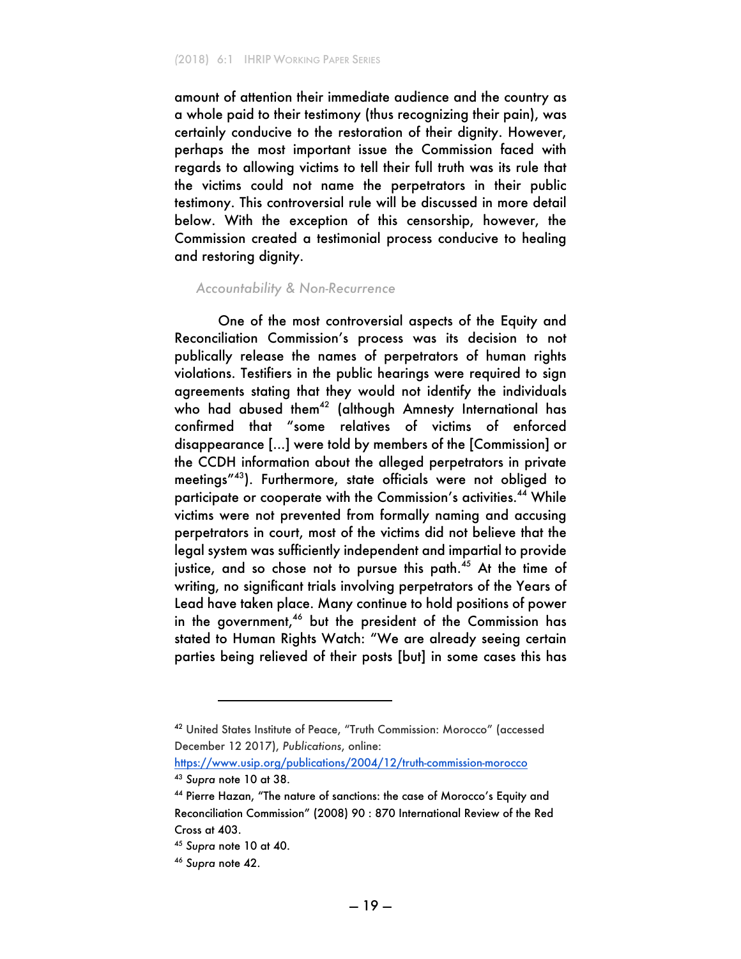amount of attention their immediate audience and the country as a whole paid to their testimony (thus recognizing their pain), was certainly conducive to the restoration of their dignity. However, perhaps the most important issue the Commission faced with regards to allowing victims to tell their full truth was its rule that the victims could not name the perpetrators in their public testimony. This controversial rule will be discussed in more detail below. With the exception of this censorship, however, the Commission created a testimonial process conducive to healing and restoring dignity.

#### *Accountability & Non-Recurrence*

One of the most controversial aspects of the Equity and Reconciliation Commission's process was its decision to not publically release the names of perpetrators of human rights violations. Testifiers in the public hearings were required to sign agreements stating that they would not identify the individuals who had abused them<sup>42</sup> (although Amnesty International has confirmed that "some relatives of victims of enforced disappearance [...] were told by members of the [Commission] or the CCDH information about the alleged perpetrators in private meetings"43). Furthermore, state officials were not obliged to participate or cooperate with the Commission's activities.<sup>44</sup> While victims were not prevented from formally naming and accusing perpetrators in court, most of the victims did not believe that the legal system was sufficiently independent and impartial to provide justice, and so chose not to pursue this path.<sup>45</sup> At the time of writing, no significant trials involving perpetrators of the Years of Lead have taken place. Many continue to hold positions of power in the government,<sup>46</sup> but the president of the Commission has stated to Human Rights Watch: "We are already seeing certain parties being relieved of their posts [but] in some cases this has

<sup>42</sup> United States Institute of Peace, "Truth Commission: Morocco" (accessed December 12 2017), *Publications*, online:

https://www.usip.org/publications/2004/12/truth-commission-morocco <sup>43</sup> *Supra* note 10 at 38.

<sup>44</sup> Pierre Hazan, "The nature of sanctions: the case of Morocco's Equity and Reconciliation Commission" (2008) 90 : 870 International Review of the Red Cross at 403.

<sup>45</sup> *Supra* note 10 at 40.

<sup>46</sup> *Supra* note 42.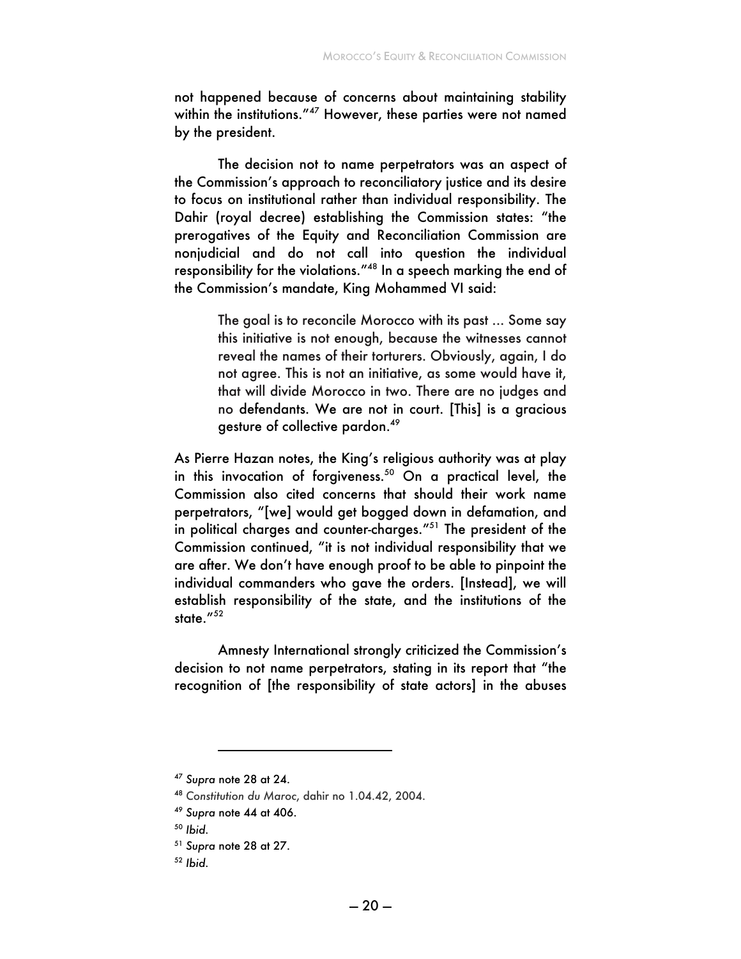not happened because of concerns about maintaining stability within the institutions."<sup>47</sup> However, these parties were not named by the president.

The decision not to name perpetrators was an aspect of the Commission's approach to reconciliatory justice and its desire to focus on institutional rather than individual responsibility. The Dahir (royal decree) establishing the Commission states: "the prerogatives of the Equity and Reconciliation Commission are nonjudicial and do not call into question the individual responsibility for the violations."<sup>48</sup> In a speech marking the end of the Commission's mandate, King Mohammed VI said:

> The goal is to reconcile Morocco with its past ... Some say this initiative is not enough, because the witnesses cannot reveal the names of their torturers. Obviously, again, I do not agree. This is not an initiative, as some would have it, that will divide Morocco in two. There are no judges and no defendants. We are not in court. [This] is a gracious gesture of collective pardon.49

As Pierre Hazan notes, the King's religious authority was at play in this invocation of forgiveness. $50$  On a practical level, the Commission also cited concerns that should their work name perpetrators, "[we] would get bogged down in defamation, and in political charges and counter-charges."51 The president of the Commission continued, "it is not individual responsibility that we are after. We don't have enough proof to be able to pinpoint the individual commanders who gave the orders. [Instead], we will establish responsibility of the state, and the institutions of the state."<sup>52</sup>

Amnesty International strongly criticized the Commission's decision to not name perpetrators, stating in its report that "the recognition of [the responsibility of state actors] in the abuses

<sup>47</sup> *Supra* note 28 at 24.

<sup>48</sup> *Constitution du Maroc*, dahir no 1.04.42, 2004.

<sup>49</sup> *Supra* note 44 at 406.

<sup>50</sup> *Ibid.*

<sup>51</sup> *Supra* note 28 at 27.

<sup>52</sup> *Ibid.*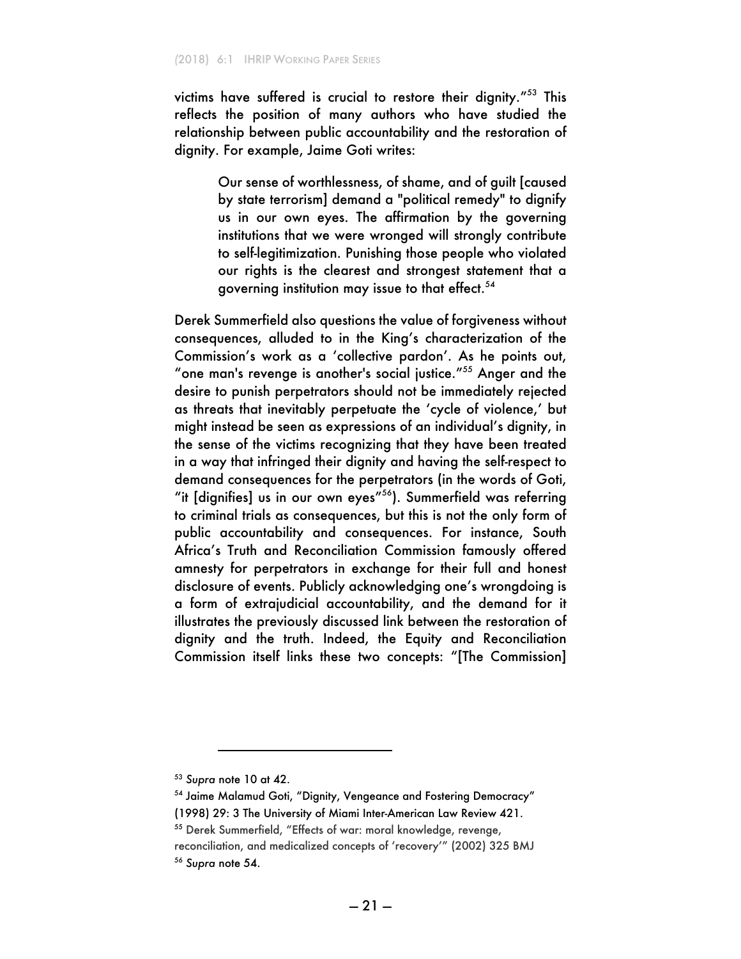victims have suffered is crucial to restore their dignity."<sup>53</sup> This reflects the position of many authors who have studied the relationship between public accountability and the restoration of dignity. For example, Jaime Goti writes:

> Our sense of worthlessness, of shame, and of guilt [caused by state terrorism] demand a "political remedy" to dignify us in our own eyes. The affirmation by the governing institutions that we were wronged will strongly contribute to self-legitimization. Punishing those people who violated our rights is the clearest and strongest statement that a governing institution may issue to that effect.<sup>54</sup>

Derek Summerfield also questions the value of forgiveness without consequences, alluded to in the King's characterization of the Commission's work as a 'collective pardon'. As he points out, "one man's revenge is another's social justice."<sup>55</sup> Anger and the desire to punish perpetrators should not be immediately rejected as threats that inevitably perpetuate the 'cycle of violence,' but might instead be seen as expressions of an individual's dignity, in the sense of the victims recognizing that they have been treated in a way that infringed their dignity and having the self-respect to demand consequences for the perpetrators (in the words of Goti, "it [dignifies] us in our own eyes"<sup>56</sup>). Summerfield was referring to criminal trials as consequences, but this is not the only form of public accountability and consequences. For instance, South Africa's Truth and Reconciliation Commission famously offered amnesty for perpetrators in exchange for their full and honest disclosure of events. Publicly acknowledging one's wrongdoing is a form of extrajudicial accountability, and the demand for it illustrates the previously discussed link between the restoration of dignity and the truth. Indeed, the Equity and Reconciliation Commission itself links these two concepts: "[The Commission]

<sup>53</sup> *Supra* note 10 at 42.

<sup>54</sup> Jaime Malamud Goti, "Dignity, Vengeance and Fostering Democracy"

<sup>(1998) 29: 3</sup> The University of Miami Inter-American Law Review 421.

<sup>55</sup> Derek Summerfield, "Effects of war: moral knowledge, revenge,

reconciliation, and medicalized concepts of 'recovery'" (2002) 325 BMJ <sup>56</sup> *Supra* note 54.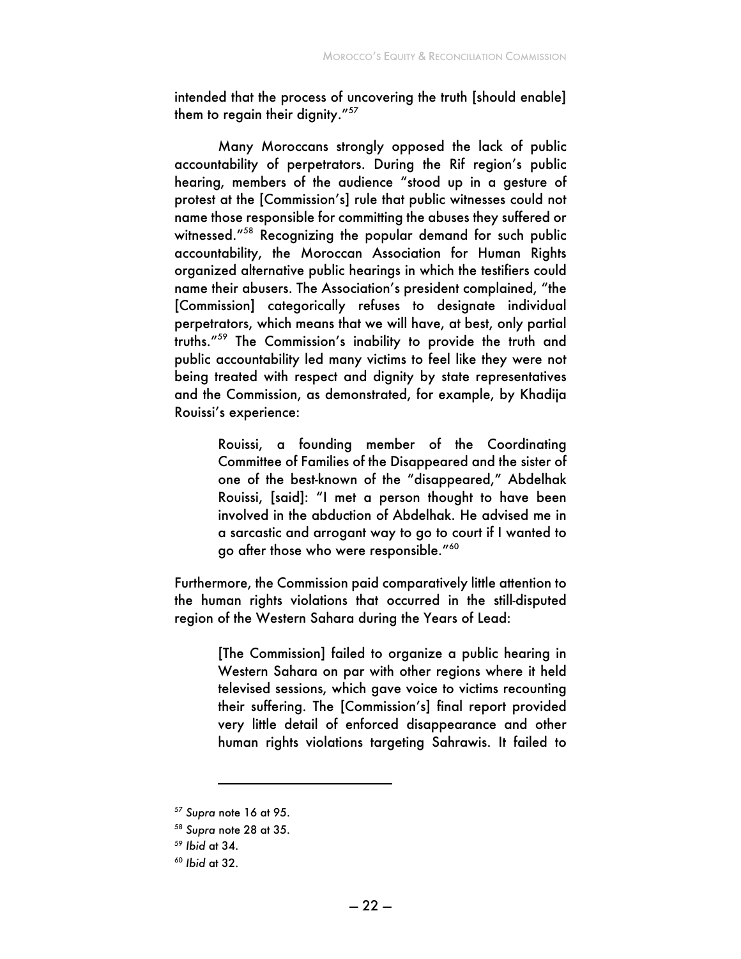intended that the process of uncovering the truth [should enable] them to regain their dignity."<sup>57</sup>

Many Moroccans strongly opposed the lack of public accountability of perpetrators. During the Rif region's public hearing, members of the audience "stood up in a gesture of protest at the [Commission's] rule that public witnesses could not name those responsible for committing the abuses they suffered or witnessed."58 Recognizing the popular demand for such public accountability, the Moroccan Association for Human Rights organized alternative public hearings in which the testifiers could name their abusers. The Association's president complained, "the [Commission] categorically refuses to designate individual perpetrators, which means that we will have, at best, only partial truths."59 The Commission's inability to provide the truth and public accountability led many victims to feel like they were not being treated with respect and dignity by state representatives and the Commission, as demonstrated, for example, by Khadija Rouissi's experience:

> Rouissi, a founding member of the Coordinating Committee of Families of the Disappeared and the sister of one of the best-known of the "disappeared," Abdelhak Rouissi, [said]: "I met a person thought to have been involved in the abduction of Abdelhak. He advised me in a sarcastic and arrogant way to go to court if I wanted to go after those who were responsible."<sup>60</sup>

Furthermore, the Commission paid comparatively little attention to the human rights violations that occurred in the still-disputed region of the Western Sahara during the Years of Lead:

> [The Commission] failed to organize a public hearing in Western Sahara on par with other regions where it held televised sessions, which gave voice to victims recounting their suffering. The [Commission's] final report provided very little detail of enforced disappearance and other human rights violations targeting Sahrawis. It failed to

<sup>57</sup> *Supra* note 16 at 95.

<sup>58</sup> *Supra* note 28 at 35.

<sup>59</sup> *Ibid* at 34.

<sup>60</sup> *Ibid* at 32.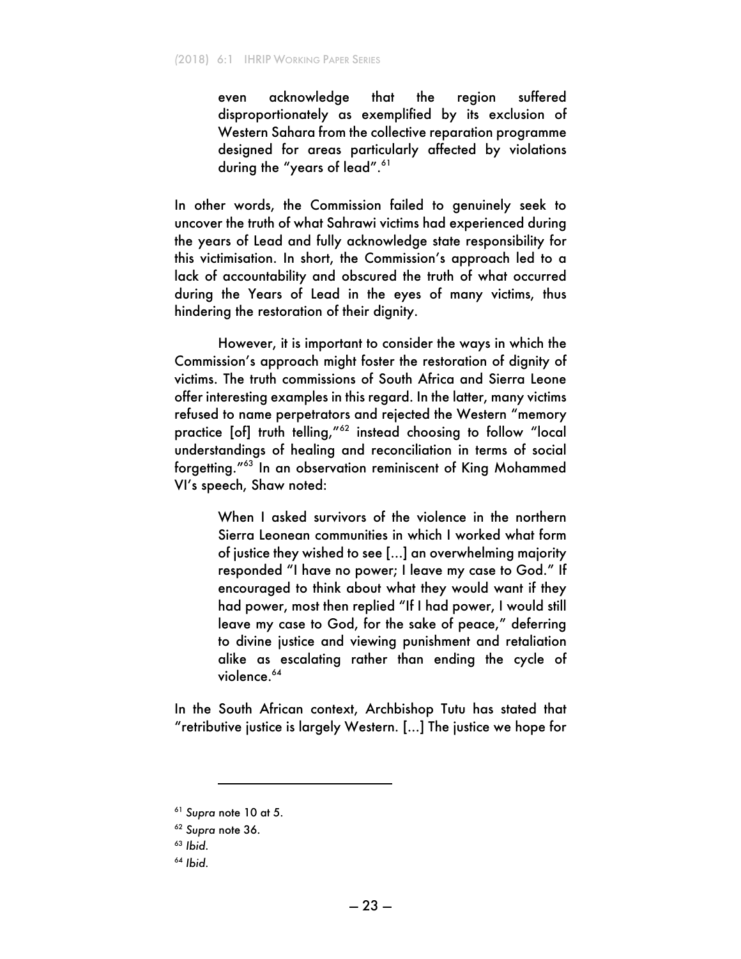even acknowledge that the region suffered disproportionately as exemplified by its exclusion of Western Sahara from the collective reparation programme designed for areas particularly affected by violations during the "years of lead".<sup>61</sup>

In other words, the Commission failed to genuinely seek to uncover the truth of what Sahrawi victims had experienced during the years of Lead and fully acknowledge state responsibility for this victimisation. In short, the Commission's approach led to a lack of accountability and obscured the truth of what occurred during the Years of Lead in the eyes of many victims, thus hindering the restoration of their dignity.

However, it is important to consider the ways in which the Commission's approach might foster the restoration of dignity of victims. The truth commissions of South Africa and Sierra Leone offer interesting examples in this regard. In the latter, many victims refused to name perpetrators and rejected the Western "memory practice [of] truth telling,"<sup>62</sup> instead choosing to follow "local understandings of healing and reconciliation in terms of social forgetting."63 In an observation reminiscent of King Mohammed VI's speech, Shaw noted:

> When I asked survivors of the violence in the northern Sierra Leonean communities in which I worked what form of justice they wished to see [...] an overwhelming majority responded "I have no power; I leave my case to God." If encouraged to think about what they would want if they had power, most then replied "If I had power, I would still leave my case to God, for the sake of peace," deferring to divine justice and viewing punishment and retaliation alike as escalating rather than ending the cycle of violence.<sup>64</sup>

In the South African context, Archbishop Tutu has stated that "retributive justice is largely Western. [...] The justice we hope for

<sup>61</sup> *Supra* note 10 at 5.

<sup>62</sup> *Supra* note 36.

<sup>63</sup> *Ibid.*

<sup>64</sup> *Ibid.*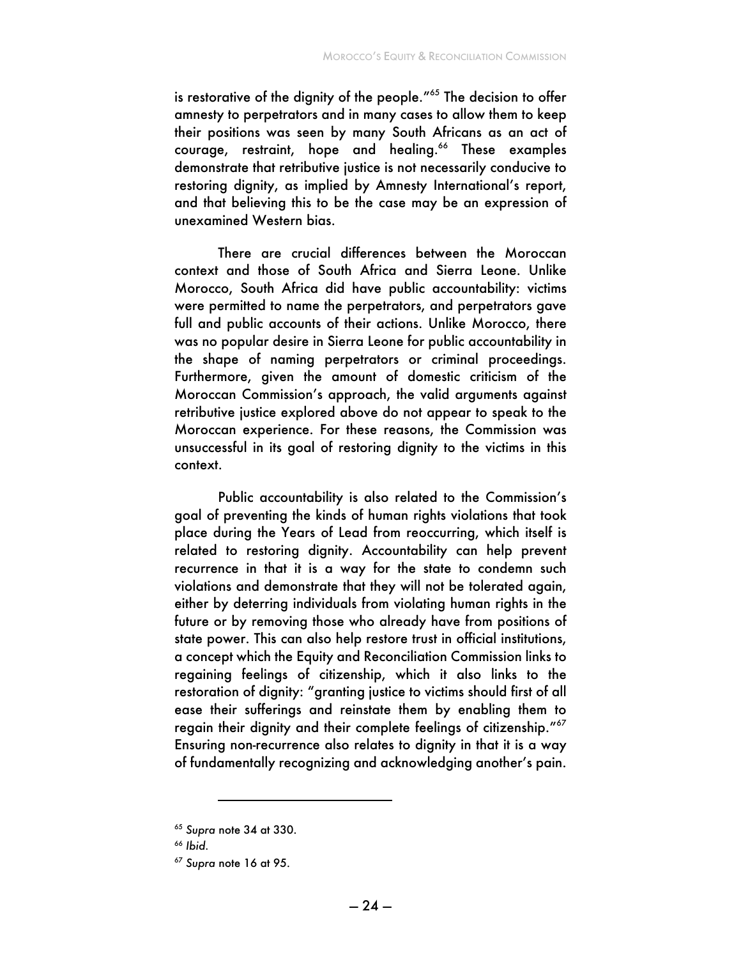is restorative of the dignity of the people."<sup>65</sup> The decision to offer amnesty to perpetrators and in many cases to allow them to keep their positions was seen by many South Africans as an act of courage, restraint, hope and healing.<sup>66</sup> These examples demonstrate that retributive justice is not necessarily conducive to restoring dignity, as implied by Amnesty International's report, and that believing this to be the case may be an expression of unexamined Western bias.

There are crucial differences between the Moroccan context and those of South Africa and Sierra Leone. Unlike Morocco, South Africa did have public accountability: victims were permitted to name the perpetrators, and perpetrators gave full and public accounts of their actions. Unlike Morocco, there was no popular desire in Sierra Leone for public accountability in the shape of naming perpetrators or criminal proceedings. Furthermore, given the amount of domestic criticism of the Moroccan Commission's approach, the valid arguments against retributive justice explored above do not appear to speak to the Moroccan experience. For these reasons, the Commission was unsuccessful in its goal of restoring dignity to the victims in this context.

Public accountability is also related to the Commission's goal of preventing the kinds of human rights violations that took place during the Years of Lead from reoccurring, which itself is related to restoring dignity. Accountability can help prevent recurrence in that it is a way for the state to condemn such violations and demonstrate that they will not be tolerated again, either by deterring individuals from violating human rights in the future or by removing those who already have from positions of state power. This can also help restore trust in official institutions, a concept which the Equity and Reconciliation Commission links to regaining feelings of citizenship, which it also links to the restoration of dignity: "granting justice to victims should first of all ease their sufferings and reinstate them by enabling them to regain their dignity and their complete feelings of citizenship."<sup>67</sup> Ensuring non-recurrence also relates to dignity in that it is a way of fundamentally recognizing and acknowledging another's pain.

<sup>65</sup> *Supra* note 34 at 330.

<sup>66</sup> *Ibid.* 

<sup>67</sup> *Supra* note 16 at 95.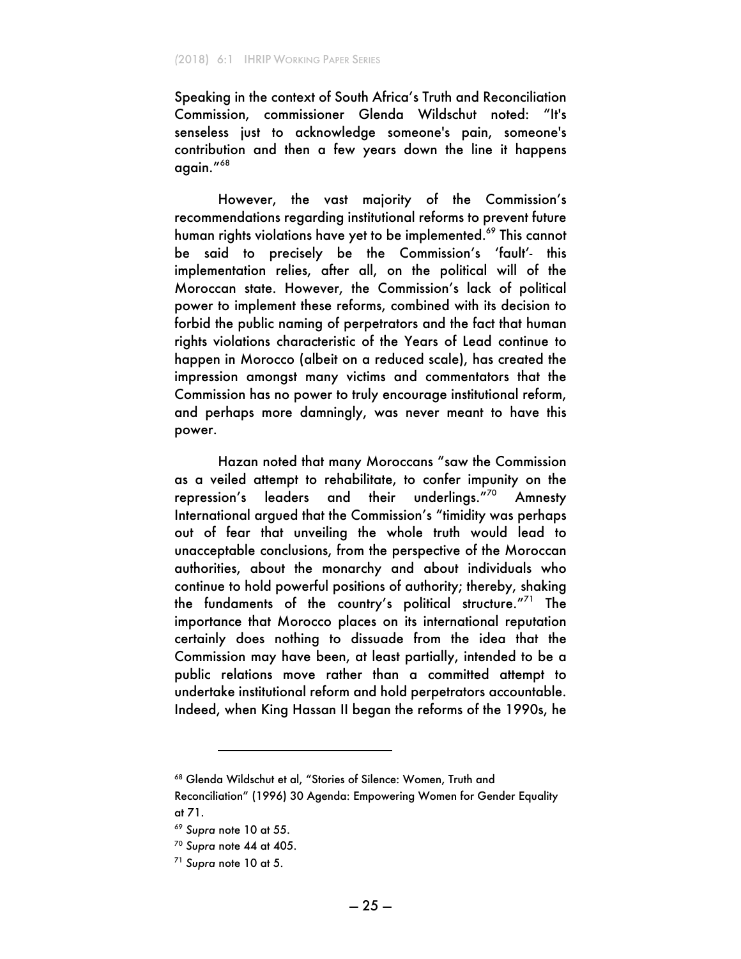Speaking in the context of South Africa's Truth and Reconciliation Commission, commissioner Glenda Wildschut noted: "It's senseless just to acknowledge someone's pain, someone's contribution and then a few years down the line it happens  $\alpha$ aain. $168$ 

However, the vast majority of the Commission's recommendations regarding institutional reforms to prevent future human rights violations have yet to be implemented.<sup>69</sup> This cannot be said to precisely be the Commission's 'fault'- this implementation relies, after all, on the political will of the Moroccan state. However, the Commission's lack of political power to implement these reforms, combined with its decision to forbid the public naming of perpetrators and the fact that human rights violations characteristic of the Years of Lead continue to happen in Morocco (albeit on a reduced scale), has created the impression amongst many victims and commentators that the Commission has no power to truly encourage institutional reform, and perhaps more damningly, was never meant to have this power.

Hazan noted that many Moroccans "saw the Commission as a veiled attempt to rehabilitate, to confer impunity on the repression's leaders and their underlings."70 Amnesty International argued that the Commission's "timidity was perhaps out of fear that unveiling the whole truth would lead to unacceptable conclusions, from the perspective of the Moroccan authorities, about the monarchy and about individuals who continue to hold powerful positions of authority; thereby, shaking the fundaments of the country's political structure."<sup>71</sup> The importance that Morocco places on its international reputation certainly does nothing to dissuade from the idea that the Commission may have been, at least partially, intended to be a public relations move rather than a committed attempt to undertake institutional reform and hold perpetrators accountable. Indeed, when King Hassan II began the reforms of the 1990s, he

<sup>68</sup> Glenda Wildschut et al, "Stories of Silence: Women, Truth and

Reconciliation" (1996) 30 Agenda: Empowering Women for Gender Equality at 71.

<sup>69</sup> *Supra* note 10 at 55.

<sup>70</sup> *Supra* note 44 at 405.

<sup>71</sup> *Supra* note 10 at 5.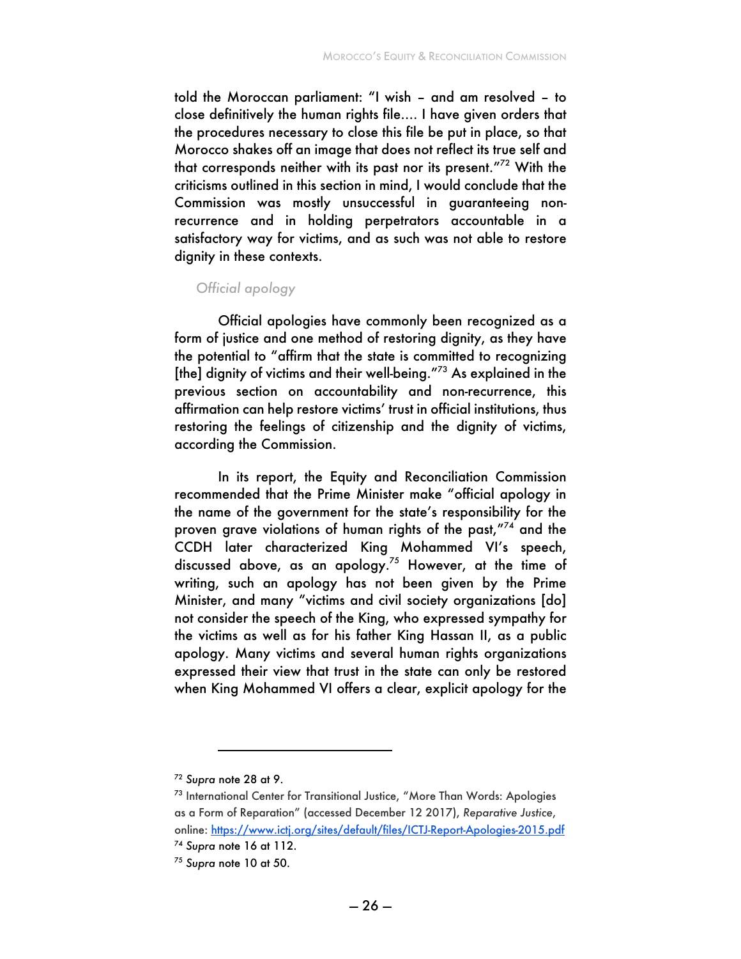told the Moroccan parliament: "I wish – and am resolved – to close definitively the human rights file…. I have given orders that the procedures necessary to close this file be put in place, so that Morocco shakes off an image that does not reflect its true self and that corresponds neither with its past nor its present."72 With the criticisms outlined in this section in mind, I would conclude that the Commission was mostly unsuccessful in guaranteeing nonrecurrence and in holding perpetrators accountable in a satisfactory way for victims, and as such was not able to restore dignity in these contexts.

#### *Official apology*

Official apologies have commonly been recognized as a form of justice and one method of restoring dignity, as they have the potential to "affirm that the state is committed to recognizing [the] dignity of victims and their well-being."<sup>73</sup> As explained in the previous section on accountability and non-recurrence, this affirmation can help restore victims' trust in official institutions, thus restoring the feelings of citizenship and the dignity of victims, according the Commission.

In its report, the Equity and Reconciliation Commission recommended that the Prime Minister make "official apology in the name of the government for the state's responsibility for the proven grave violations of human rights of the past,"<sup>74</sup> and the CCDH later characterized King Mohammed VI's speech, discussed above, as an apology.75 However, at the time of writing, such an apology has not been given by the Prime Minister, and many "victims and civil society organizations [do] not consider the speech of the King, who expressed sympathy for the victims as well as for his father King Hassan II, as a public apology. Many victims and several human rights organizations expressed their view that trust in the state can only be restored when King Mohammed VI offers a clear, explicit apology for the

<sup>72</sup> *Supra* note 28 at 9.

<sup>73</sup> International Center for Transitional Justice, "More Than Words: Apologies as a Form of Reparation" (accessed December 12 2017), *Reparative Justice*, online: https://www.ictj.org/sites/default/files/ICTJ-Report-Apologies-2015.pdf

<sup>74</sup> *Supra* note 16 at 112.

<sup>75</sup> *Supra* note 10 at 50.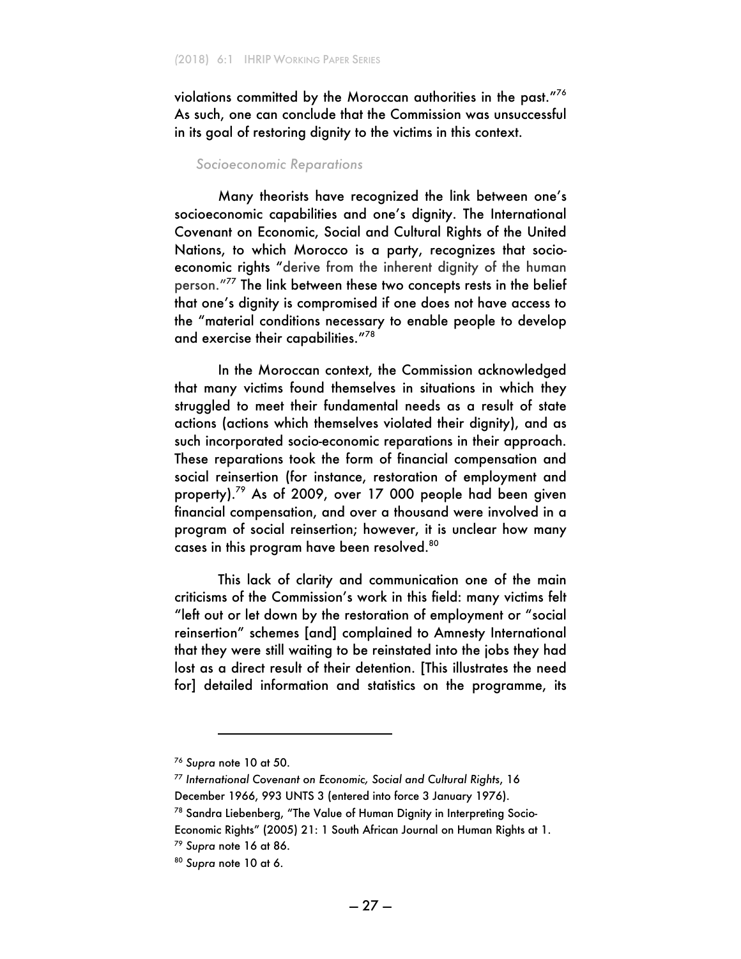violations committed by the Moroccan authorities in the past."<sup>76</sup> As such, one can conclude that the Commission was unsuccessful in its goal of restoring dignity to the victims in this context.

#### *Socioeconomic Reparations*

Many theorists have recognized the link between one's socioeconomic capabilities and one's dignity. The International Covenant on Economic, Social and Cultural Rights of the United Nations, to which Morocco is a party, recognizes that socioeconomic rights "derive from the inherent dignity of the human person."77 The link between these two concepts rests in the belief that one's dignity is compromised if one does not have access to the "material conditions necessary to enable people to develop and exercise their capabilities."<sup>78</sup>

In the Moroccan context, the Commission acknowledged that many victims found themselves in situations in which they struggled to meet their fundamental needs as a result of state actions (actions which themselves violated their dignity), and as such incorporated socio-economic reparations in their approach. These reparations took the form of financial compensation and social reinsertion (for instance, restoration of employment and property).<sup>79</sup> As of 2009, over 17 000 people had been given financial compensation, and over a thousand were involved in a program of social reinsertion; however, it is unclear how many cases in this program have been resolved.<sup>80</sup>

This lack of clarity and communication one of the main criticisms of the Commission's work in this field: many victims felt "left out or let down by the restoration of employment or "social reinsertion" schemes [and] complained to Amnesty International that they were still waiting to be reinstated into the jobs they had lost as a direct result of their detention. [This illustrates the need for] detailed information and statistics on the programme, its

i

<sup>76</sup> *Supra* note 10 at 50.

<sup>77</sup> *International Covenant on Economic, Social and Cultural Rights*, 16 December 1966, 993 UNTS 3 (entered into force 3 January 1976).

<sup>78</sup> Sandra Liebenberg, "The Value of Human Dignity in Interpreting Socio-

Economic Rights" (2005) 21: 1 South African Journal on Human Rights at 1.

<sup>79</sup> *Supra* note 16 at 86.

<sup>80</sup> *Supra* note 10 at 6.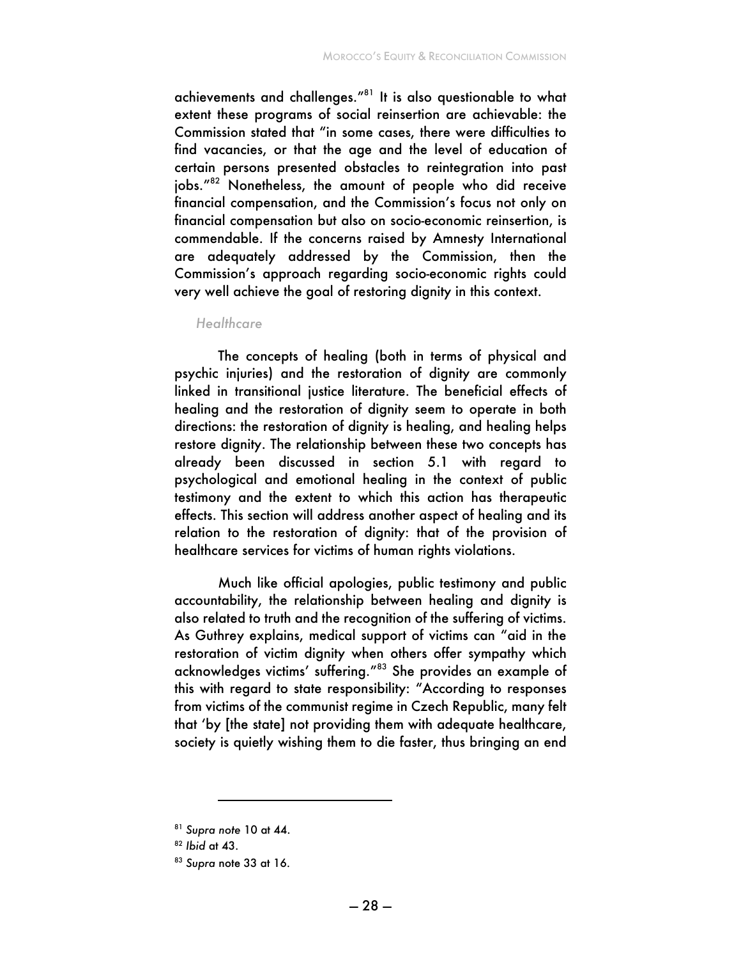achievements and challenges."81 It is also questionable to what extent these programs of social reinsertion are achievable: the Commission stated that "in some cases, there were difficulties to find vacancies, or that the age and the level of education of certain persons presented obstacles to reintegration into past jobs."82 Nonetheless, the amount of people who did receive financial compensation, and the Commission's focus not only on financial compensation but also on socio-economic reinsertion, is commendable. If the concerns raised by Amnesty International are adequately addressed by the Commission, then the Commission's approach regarding socio-economic rights could very well achieve the goal of restoring dignity in this context.

#### *Healthcare*

The concepts of healing (both in terms of physical and psychic injuries) and the restoration of dignity are commonly linked in transitional justice literature. The beneficial effects of healing and the restoration of dignity seem to operate in both directions: the restoration of dignity is healing, and healing helps restore dignity. The relationship between these two concepts has already been discussed in section 5.1 with regard to psychological and emotional healing in the context of public testimony and the extent to which this action has therapeutic effects. This section will address another aspect of healing and its relation to the restoration of dignity: that of the provision of healthcare services for victims of human rights violations.

Much like official apologies, public testimony and public accountability, the relationship between healing and dignity is also related to truth and the recognition of the suffering of victims. As Guthrey explains, medical support of victims can "aid in the restoration of victim dignity when others offer sympathy which acknowledges victims' suffering."<sup>83</sup> She provides an example of this with regard to state responsibility: "According to responses from victims of the communist regime in Czech Republic, many felt that 'by [the state] not providing them with adequate healthcare, society is quietly wishing them to die faster, thus bringing an end

<sup>81</sup> *Supra note* 10 at 44.

<sup>82</sup> *Ibid* at 43.

<sup>83</sup> *Supra* note 33 at 16.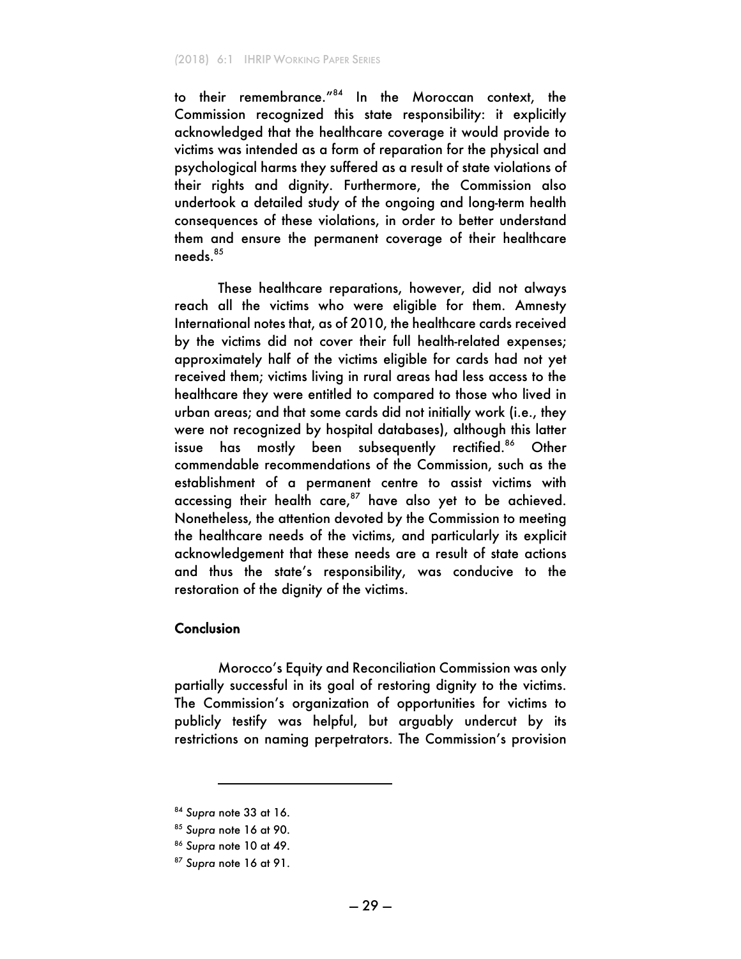to their remembrance."<sup>84</sup> In the Moroccan context, the Commission recognized this state responsibility: it explicitly acknowledged that the healthcare coverage it would provide to victims was intended as a form of reparation for the physical and psychological harms they suffered as a result of state violations of their rights and dignity. Furthermore, the Commission also undertook a detailed study of the ongoing and long-term health consequences of these violations, in order to better understand them and ensure the permanent coverage of their healthcare needs.<sup>85</sup>

These healthcare reparations, however, did not always reach all the victims who were eligible for them. Amnesty International notes that, as of 2010, the healthcare cards received by the victims did not cover their full health-related expenses; approximately half of the victims eligible for cards had not yet received them; victims living in rural areas had less access to the healthcare they were entitled to compared to those who lived in urban areas; and that some cards did not initially work (i.e., they were not recognized by hospital databases), although this latter issue has mostly been subsequently rectified.<sup>86</sup> Other commendable recommendations of the Commission, such as the establishment of a permanent centre to assist victims with accessing their health care, $87$  have also yet to be achieved. Nonetheless, the attention devoted by the Commission to meeting the healthcare needs of the victims, and particularly its explicit acknowledgement that these needs are a result of state actions and thus the state's responsibility, was conducive to the restoration of the dignity of the victims.

#### Conclusion

Morocco's Equity and Reconciliation Commission was only partially successful in its goal of restoring dignity to the victims. The Commission's organization of opportunities for victims to publicly testify was helpful, but arguably undercut by its restrictions on naming perpetrators. The Commission's provision

<sup>84</sup> *Supra* note 33 at 16.

<sup>85</sup> *Supra* note 16 at 90.

<sup>86</sup> *Supra* note 10 at 49.

<sup>87</sup> *Supra* note 16 at 91.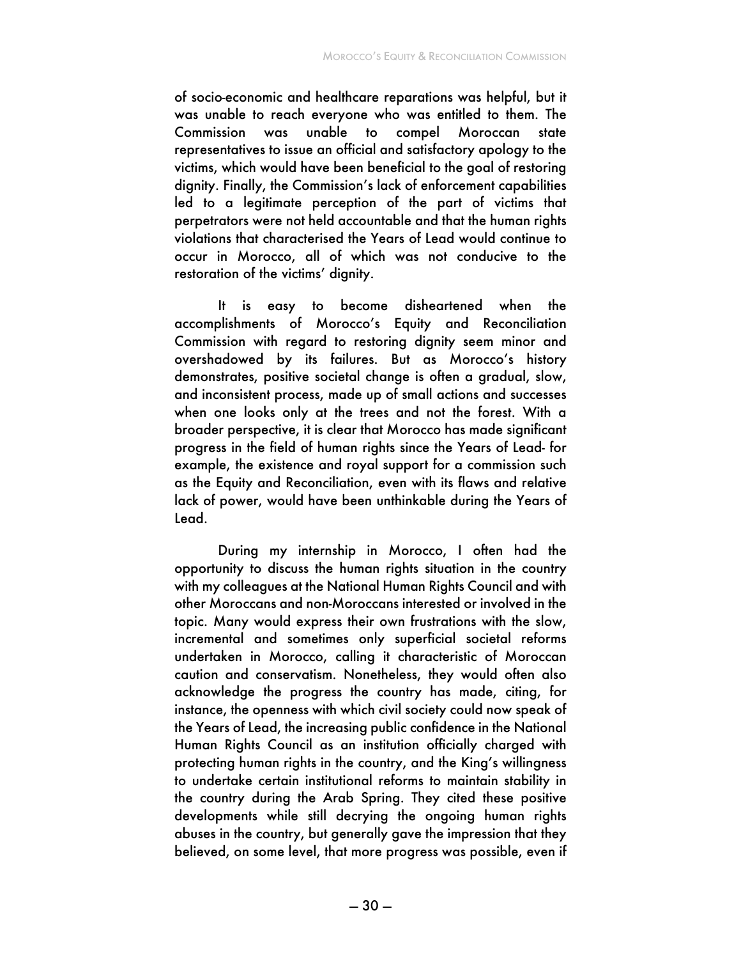of socio-economic and healthcare reparations was helpful, but it was unable to reach everyone who was entitled to them. The Commission was unable to compel Moroccan state representatives to issue an official and satisfactory apology to the victims, which would have been beneficial to the goal of restoring dignity. Finally, the Commission's lack of enforcement capabilities led to a legitimate perception of the part of victims that perpetrators were not held accountable and that the human rights violations that characterised the Years of Lead would continue to occur in Morocco, all of which was not conducive to the restoration of the victims' dignity.

It is easy to become disheartened when the accomplishments of Morocco's Equity and Reconciliation Commission with regard to restoring dignity seem minor and overshadowed by its failures. But as Morocco's history demonstrates, positive societal change is often a gradual, slow, and inconsistent process, made up of small actions and successes when one looks only at the trees and not the forest. With a broader perspective, it is clear that Morocco has made significant progress in the field of human rights since the Years of Lead- for example, the existence and royal support for a commission such as the Equity and Reconciliation, even with its flaws and relative lack of power, would have been unthinkable during the Years of Lead.

During my internship in Morocco, I often had the opportunity to discuss the human rights situation in the country with my colleagues at the National Human Rights Council and with other Moroccans and non-Moroccans interested or involved in the topic. Many would express their own frustrations with the slow, incremental and sometimes only superficial societal reforms undertaken in Morocco, calling it characteristic of Moroccan caution and conservatism. Nonetheless, they would often also acknowledge the progress the country has made, citing, for instance, the openness with which civil society could now speak of the Years of Lead, the increasing public confidence in the National Human Rights Council as an institution officially charged with protecting human rights in the country, and the King's willingness to undertake certain institutional reforms to maintain stability in the country during the Arab Spring. They cited these positive developments while still decrying the ongoing human rights abuses in the country, but generally gave the impression that they believed, on some level, that more progress was possible, even if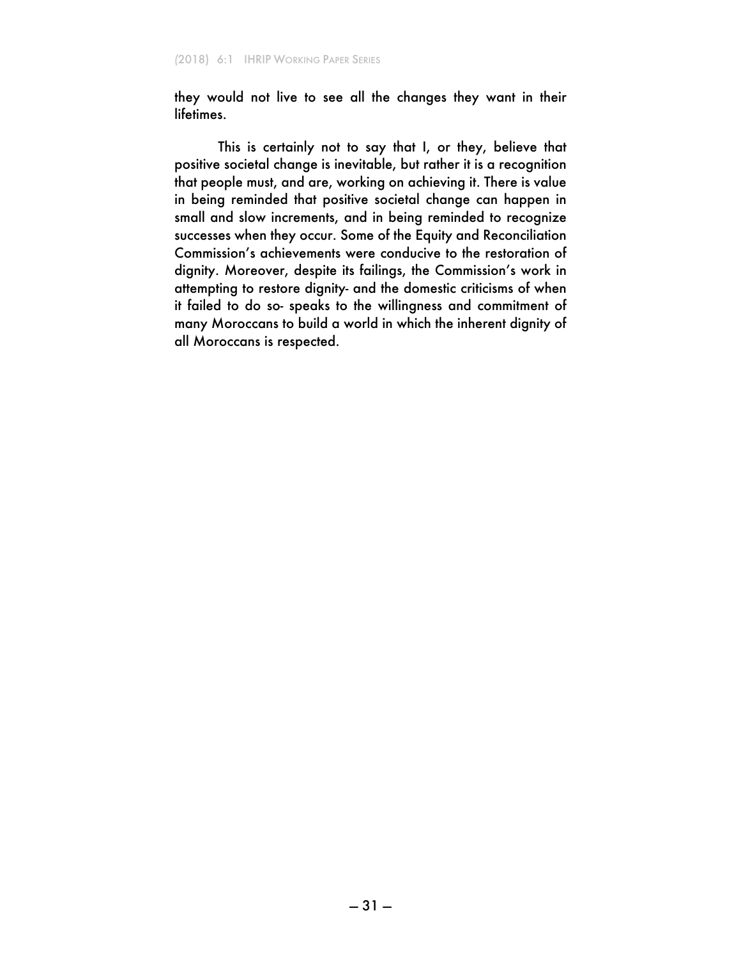they would not live to see all the changes they want in their lifetimes.

This is certainly not to say that I, or they, believe that positive societal change is inevitable, but rather it is a recognition that people must, and are, working on achieving it. There is value in being reminded that positive societal change can happen in small and slow increments, and in being reminded to recognize successes when they occur. Some of the Equity and Reconciliation Commission's achievements were conducive to the restoration of dignity. Moreover, despite its failings, the Commission's work in attempting to restore dignity- and the domestic criticisms of when it failed to do so- speaks to the willingness and commitment of many Moroccans to build a world in which the inherent dignity of all Moroccans is respected.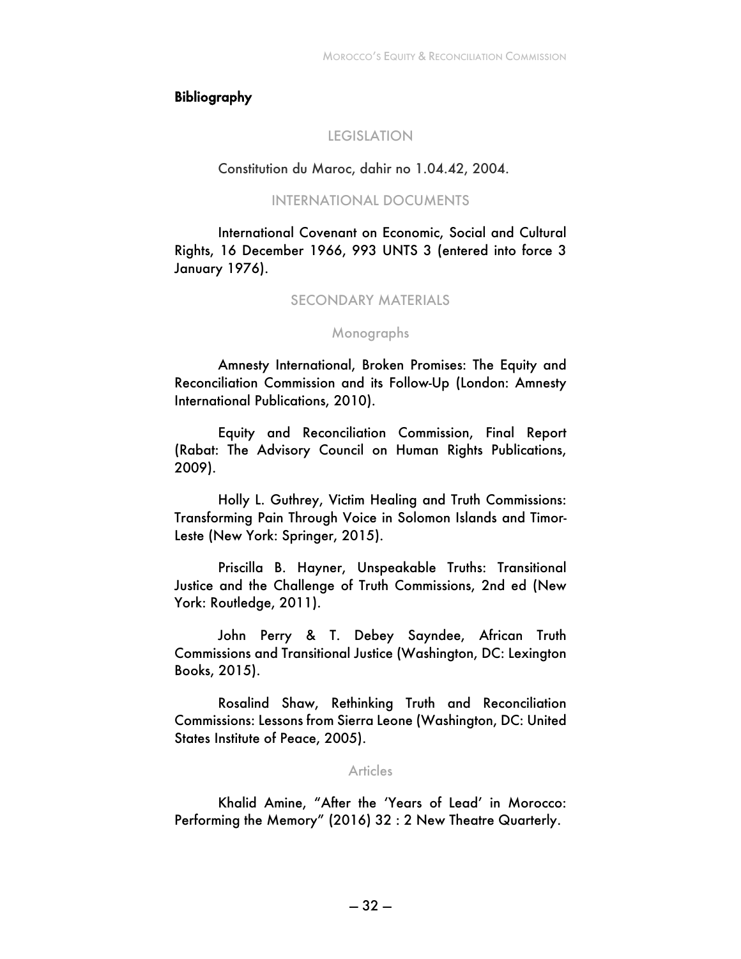#### Bibliography

#### LEGISLATION

#### Constitution du Maroc, dahir no 1.04.42, 2004.

#### INTERNATIONAL DOCUMENTS

International Covenant on Economic, Social and Cultural Rights, 16 December 1966, 993 UNTS 3 (entered into force 3 January 1976).

### SECONDARY MATERIALS

#### Monographs

Amnesty International, Broken Promises: The Equity and Reconciliation Commission and its Follow-Up (London: Amnesty International Publications, 2010).

Equity and Reconciliation Commission, Final Report (Rabat: The Advisory Council on Human Rights Publications, 2009).

Holly L. Guthrey, Victim Healing and Truth Commissions: Transforming Pain Through Voice in Solomon Islands and Timor-Leste (New York: Springer, 2015).

Priscilla B. Hayner, Unspeakable Truths: Transitional Justice and the Challenge of Truth Commissions, 2nd ed (New York: Routledge, 2011).

John Perry & T. Debey Sayndee, African Truth Commissions and Transitional Justice (Washington, DC: Lexington Books, 2015).

Rosalind Shaw, Rethinking Truth and Reconciliation Commissions: Lessons from Sierra Leone (Washington, DC: United States Institute of Peace, 2005).

#### Articles

Khalid Amine, "After the 'Years of Lead' in Morocco: Performing the Memory" (2016) 32 : 2 New Theatre Quarterly.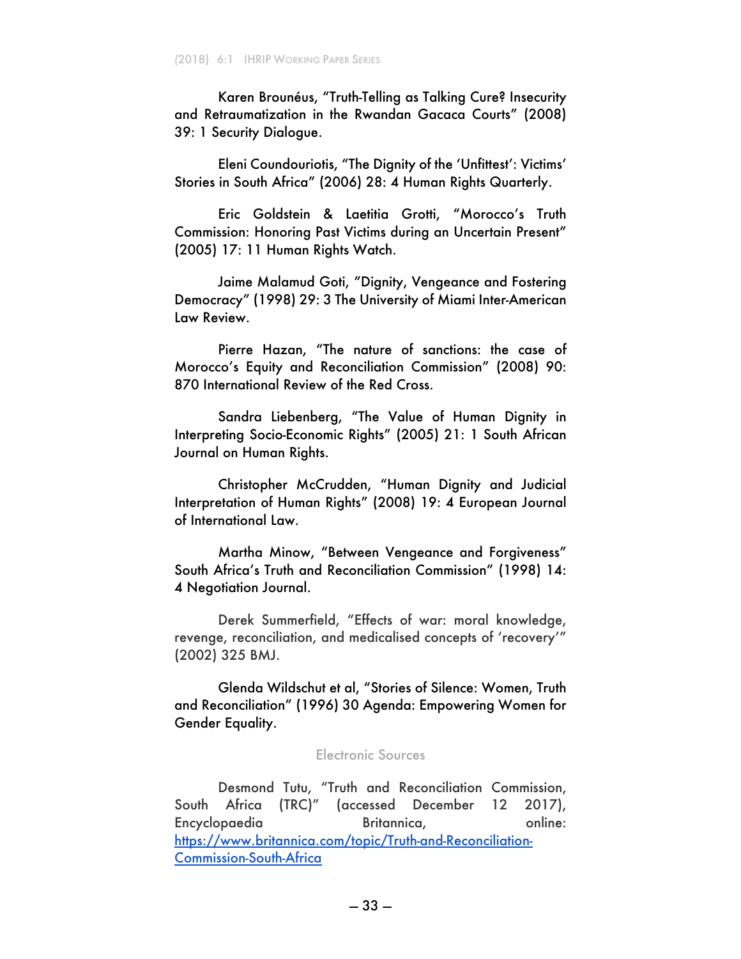Karen Brounéus, "Truth-Telling as Talking Cure? Insecurity and Retraumatization in the Rwandan Gacaca Courts" (2008) 39: 1 Security Dialogue.

Eleni Coundouriotis, "The Dignity of the 'Unfittest': Victims' Stories in South Africa" (2006) 28: 4 Human Rights Quarterly.

Eric Goldstein & Laetitia Grotti, "Morocco's Truth Commission: Honoring Past Victims during an Uncertain Present" (2005) 17: 11 Human Rights Watch.

Jaime Malamud Goti, "Dignity, Vengeance and Fostering Democracy" (1998) 29: 3 The University of Miami Inter-American Law Review.

Pierre Hazan, "The nature of sanctions: the case of Morocco's Equity and Reconciliation Commission" (2008) 90: 870 International Review of the Red Cross.

Sandra Liebenberg, "The Value of Human Dignity in Interpreting Socio-Economic Rights" (2005) 21: 1 South African Journal on Human Rights.

Christopher McCrudden, "Human Dignity and Judicial Interpretation of Human Rights" (2008) 19: 4 European Journal of International Law.

Martha Minow, "Between Vengeance and Forgiveness" South Africa's Truth and Reconciliation Commission" (1998) 14: 4 Negotiation Journal.

Derek Summerfield, "Effects of war: moral knowledge, revenge, reconciliation, and medicalised concepts of 'recovery'" (2002) 325 BMJ.

Glenda Wildschut et al, "Stories of Silence: Women, Truth and Reconciliation" (1996) 30 Agenda: Empowering Women for Gender Equality.

#### Electronic Sources

Desmond Tutu, "Truth and Reconciliation Commission, South Africa (TRC)" (accessed December 12 2017), Encyclopaedia Britannica, online: https://www.britannica.com/topic/Truth-and-Reconciliation-Commission-South-Africa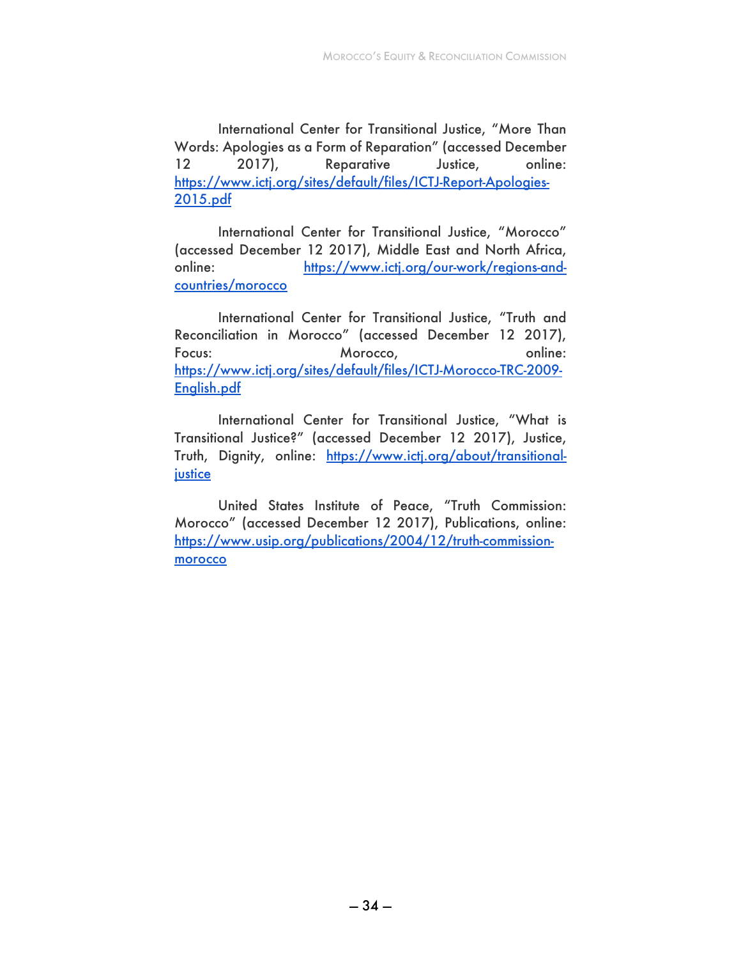International Center for Transitional Justice, "More Than Words: Apologies as a Form of Reparation" (accessed December 12 2017), Reparative Justice, online: https://www.ictj.org/sites/default/files/ICTJ-Report-Apologies-2015.pdf

International Center for Transitional Justice, "Morocco" (accessed December 12 2017), Middle East and North Africa, online: https://www.ictj.org/our-work/regions-andcountries/morocco

International Center for Transitional Justice, "Truth and Reconciliation in Morocco" (accessed December 12 2017), Focus: Morocco, and Morocco, and Morocco, and Morocco, and Morocco, and Morocco, and Morocco, and Morocco, and Morocco, and Morocco, and Morocco, and Morocco, and Morocco, and Morocco, and Morocco, and Morocco, and Morocco https://www.ictj.org/sites/default/files/ICTJ-Morocco-TRC-2009- English.pdf

International Center for Transitional Justice, "What is Transitional Justice?" (accessed December 12 2017), Justice, Truth, Dignity, online: https://www.ictj.org/about/transitionaljustice

United States Institute of Peace, "Truth Commission: Morocco" (accessed December 12 2017), Publications, online: https://www.usip.org/publications/2004/12/truth-commissionmorocco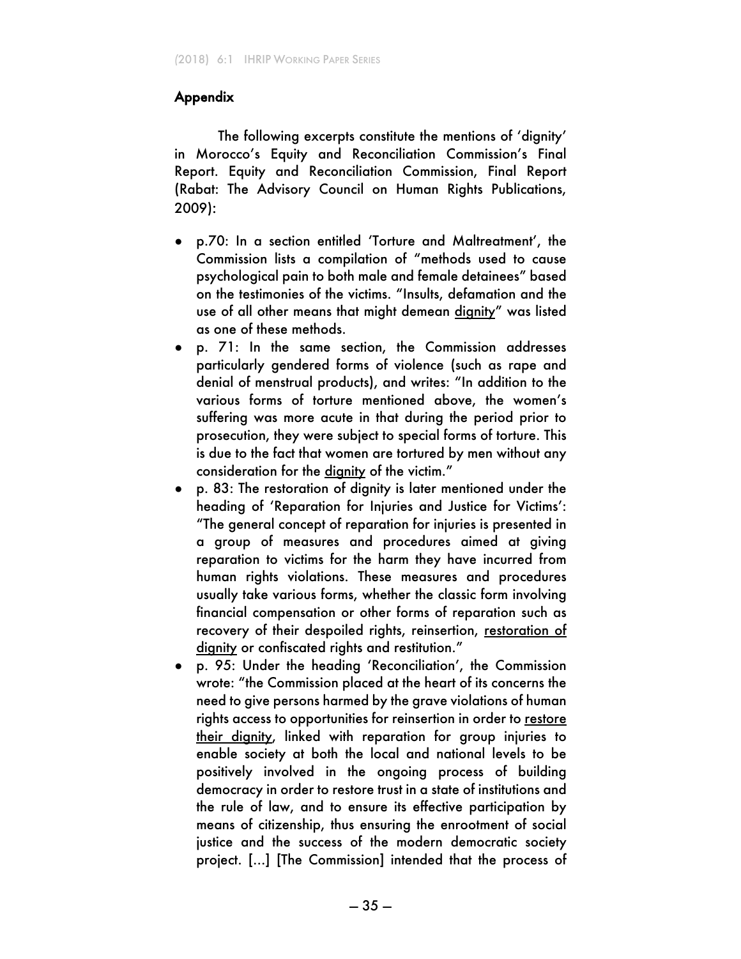### Appendix

The following excerpts constitute the mentions of 'dignity' in Morocco's Equity and Reconciliation Commission's Final Report. Equity and Reconciliation Commission, Final Report (Rabat: The Advisory Council on Human Rights Publications, 2009):

- p.70: In a section entitled 'Torture and Maltreatment', the Commission lists a compilation of "methods used to cause psychological pain to both male and female detainees" based on the testimonies of the victims. "Insults, defamation and the use of all other means that might demean dignity" was listed as one of these methods.
- p. 71: In the same section, the Commission addresses particularly gendered forms of violence (such as rape and denial of menstrual products), and writes: "In addition to the various forms of torture mentioned above, the women's suffering was more acute in that during the period prior to prosecution, they were subject to special forms of torture. This is due to the fact that women are tortured by men without any consideration for the dignity of the victim."
- p. 83: The restoration of dignity is later mentioned under the heading of 'Reparation for Injuries and Justice for Victims': "The general concept of reparation for injuries is presented in a group of measures and procedures aimed at giving reparation to victims for the harm they have incurred from human rights violations. These measures and procedures usually take various forms, whether the classic form involving financial compensation or other forms of reparation such as recovery of their despoiled rights, reinsertion, restoration of dignity or confiscated rights and restitution."
- p. 95: Under the heading 'Reconciliation', the Commission wrote: "the Commission placed at the heart of its concerns the need to give persons harmed by the grave violations of human rights access to opportunities for reinsertion in order to restore their dignity, linked with reparation for group injuries to enable society at both the local and national levels to be positively involved in the ongoing process of building democracy in order to restore trust in a state of institutions and the rule of law, and to ensure its effective participation by means of citizenship, thus ensuring the enrootment of social justice and the success of the modern democratic society project. [...] [The Commission] intended that the process of